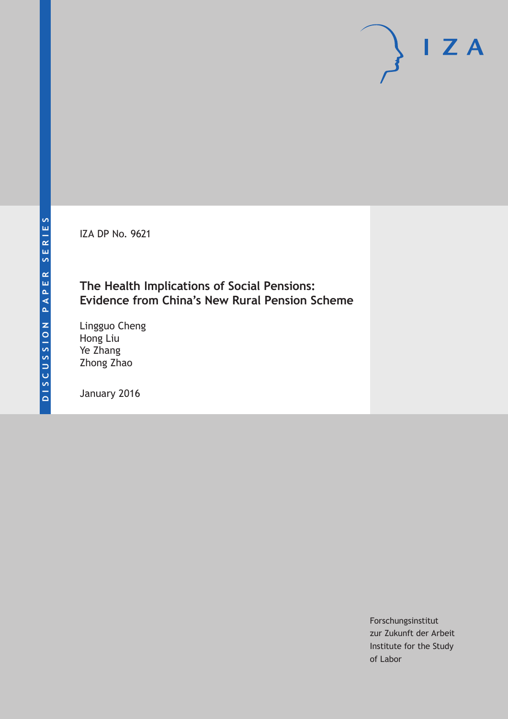IZA DP No. 9621

## **The Health Implications of Social Pensions: Evidence from China's New Rural Pension Scheme**

Lingguo Cheng Hong Liu Ye Zhang Zhong Zhao

January 2016

Forschungsinstitut zur Zukunft der Arbeit Institute for the Study of Labor

 $I Z A$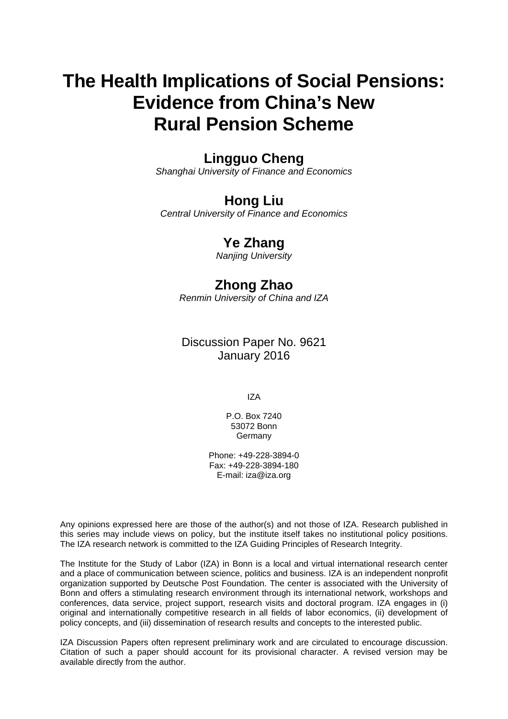# **The Health Implications of Social Pensions: Evidence from China's New Rural Pension Scheme**

## **Lingguo Cheng**

*Shanghai University of Finance and Economics* 

# **Hong Liu**

*Central University of Finance and Economics* 

# **Ye Zhang**

*Nanjing University*

# **Zhong Zhao**

*Renmin University of China and IZA* 

### Discussion Paper No. 9621 January 2016

IZA

P.O. Box 7240 53072 Bonn Germany

Phone: +49-228-3894-0 Fax: +49-228-3894-180 E-mail: iza@iza.org

Any opinions expressed here are those of the author(s) and not those of IZA. Research published in this series may include views on policy, but the institute itself takes no institutional policy positions. The IZA research network is committed to the IZA Guiding Principles of Research Integrity.

The Institute for the Study of Labor (IZA) in Bonn is a local and virtual international research center and a place of communication between science, politics and business. IZA is an independent nonprofit organization supported by Deutsche Post Foundation. The center is associated with the University of Bonn and offers a stimulating research environment through its international network, workshops and conferences, data service, project support, research visits and doctoral program. IZA engages in (i) original and internationally competitive research in all fields of labor economics, (ii) development of policy concepts, and (iii) dissemination of research results and concepts to the interested public.

IZA Discussion Papers often represent preliminary work and are circulated to encourage discussion. Citation of such a paper should account for its provisional character. A revised version may be available directly from the author.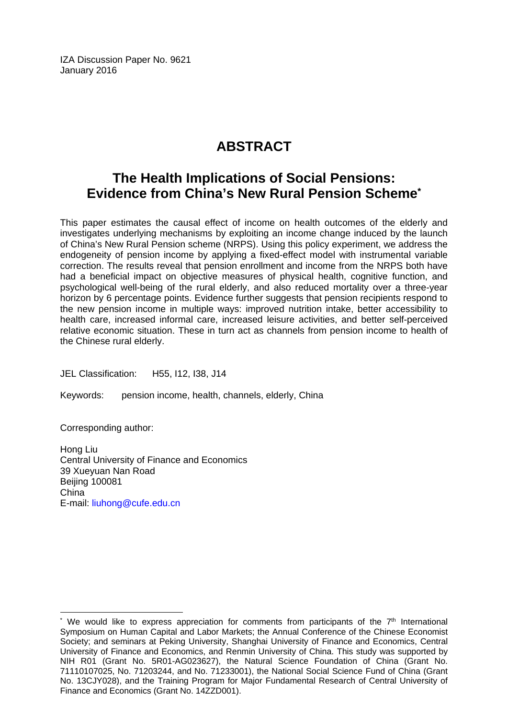IZA Discussion Paper No. 9621 January 2016

# **ABSTRACT**

## **The Health Implications of Social Pensions: Evidence from China's New Rural Pension Scheme\***

This paper estimates the causal effect of income on health outcomes of the elderly and investigates underlying mechanisms by exploiting an income change induced by the launch of China's New Rural Pension scheme (NRPS). Using this policy experiment, we address the endogeneity of pension income by applying a fixed-effect model with instrumental variable correction. The results reveal that pension enrollment and income from the NRPS both have had a beneficial impact on objective measures of physical health, cognitive function, and psychological well-being of the rural elderly, and also reduced mortality over a three-year horizon by 6 percentage points. Evidence further suggests that pension recipients respond to the new pension income in multiple ways: improved nutrition intake, better accessibility to health care, increased informal care, increased leisure activities, and better self-perceived relative economic situation. These in turn act as channels from pension income to health of the Chinese rural elderly.

JEL Classification: H55, I12, I38, J14

Keywords: pension income, health, channels, elderly, China

Corresponding author:

 $\overline{\phantom{a}}$ 

Hong Liu Central University of Finance and Economics 39 Xueyuan Nan Road Beijing 100081 China E-mail: liuhong@cufe.edu.cn

<sup>\*</sup> We would like to express appreciation for comments from participants of the  $7<sup>th</sup>$  International Symposium on Human Capital and Labor Markets; the Annual Conference of the Chinese Economist Society; and seminars at Peking University, Shanghai University of Finance and Economics, Central University of Finance and Economics, and Renmin University of China. This study was supported by NIH R01 (Grant No. 5R01-AG023627), the Natural Science Foundation of China (Grant No. 71110107025, No. 71203244, and No. 71233001), the National Social Science Fund of China (Grant No. 13CJY028), and the Training Program for Major Fundamental Research of Central University of Finance and Economics (Grant No. 14ZZD001).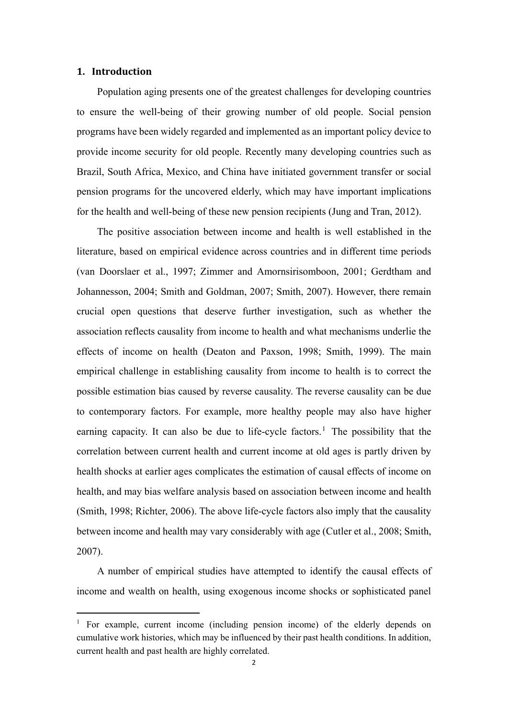#### **1. Introduction**

Population aging presents one of the greatest challenges for developing countries to ensure the well-being of their growing number of old people. Social pension programs have been widely regarded and implemented as an important policy device to provide income security for old people. Recently many developing countries such as Brazil, South Africa, Mexico, and China have initiated government transfer or social pension programs for the uncovered elderly, which may have important implications for the health and well-being of these new pension recipients (Jung and Tran, 2012).

The positive association between income and health is well established in the literature, based on empirical evidence across countries and in different time periods (van Doorslaer et al., 1997; Zimmer and Amornsirisomboon, 2001; Gerdtham and Johannesson, 2004; Smith and Goldman, 2007; Smith, 2007). However, there remain crucial open questions that deserve further investigation, such as whether the association reflects causality from income to health and what mechanisms underlie the effects of income on health (Deaton and Paxson, 1998; Smith, 1999). The main empirical challenge in establishing causality from income to health is to correct the possible estimation bias caused by reverse causality. The reverse causality can be due to contemporary factors. For example, more healthy people may also have higher earning capacity. It can also be due to life-cycle factors.<sup>1</sup> The possibility that the correlation between current health and current income at old ages is partly driven by health shocks at earlier ages complicates the estimation of causal effects of income on health, and may bias welfare analysis based on association between income and health (Smith, 1998; Richter, 2006). The above life-cycle factors also imply that the causality between income and health may vary considerably with age (Cutler et al., 2008; Smith, 2007).

A number of empirical studies have attempted to identify the causal effects of income and wealth on health, using exogenous income shocks or sophisticated panel

<sup>1</sup> For example, current income (including pension income) of the elderly depends on cumulative work histories, which may be influenced by their past health conditions. In addition, current health and past health are highly correlated.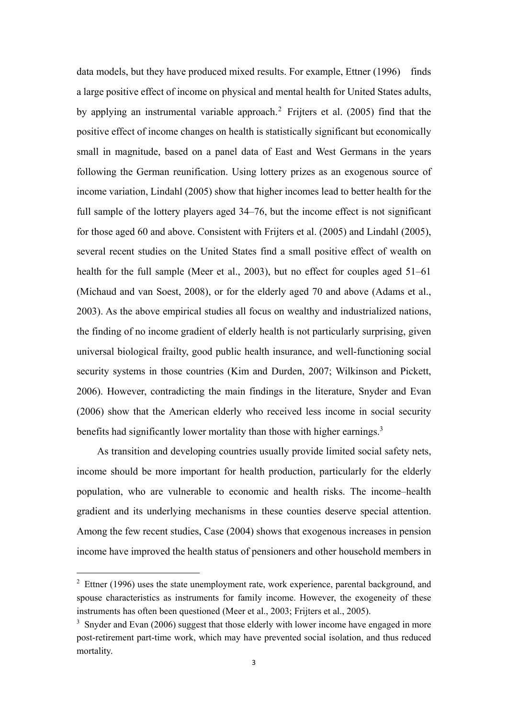data models, but they have produced mixed results. For example, Ettner (1996) finds a large positive effect of income on physical and mental health for United States adults, by applying an instrumental variable approach.2 Frijters et al. (2005) find that the positive effect of income changes on health is statistically significant but economically small in magnitude, based on a panel data of East and West Germans in the years following the German reunification. Using lottery prizes as an exogenous source of income variation, Lindahl (2005) show that higher incomes lead to better health for the full sample of the lottery players aged 34–76, but the income effect is not significant for those aged 60 and above. Consistent with Frijters et al. (2005) and Lindahl (2005), several recent studies on the United States find a small positive effect of wealth on health for the full sample (Meer et al., 2003), but no effect for couples aged 51–61 (Michaud and van Soest, 2008), or for the elderly aged 70 and above (Adams et al., 2003). As the above empirical studies all focus on wealthy and industrialized nations, the finding of no income gradient of elderly health is not particularly surprising, given universal biological frailty, good public health insurance, and well-functioning social security systems in those countries (Kim and Durden, 2007; Wilkinson and Pickett, 2006). However, contradicting the main findings in the literature, Snyder and Evan (2006) show that the American elderly who received less income in social security benefits had significantly lower mortality than those with higher earnings.<sup>3</sup>

As transition and developing countries usually provide limited social safety nets, income should be more important for health production, particularly for the elderly population, who are vulnerable to economic and health risks. The income–health gradient and its underlying mechanisms in these counties deserve special attention. Among the few recent studies, Case (2004) shows that exogenous increases in pension income have improved the health status of pensioners and other household members in

 $2$  Ettner (1996) uses the state unemployment rate, work experience, parental background, and spouse characteristics as instruments for family income. However, the exogeneity of these instruments has often been questioned (Meer et al., 2003; Frijters et al., 2005).

<sup>&</sup>lt;sup>3</sup> Snyder and Evan (2006) suggest that those elderly with lower income have engaged in more post-retirement part-time work, which may have prevented social isolation, and thus reduced mortality.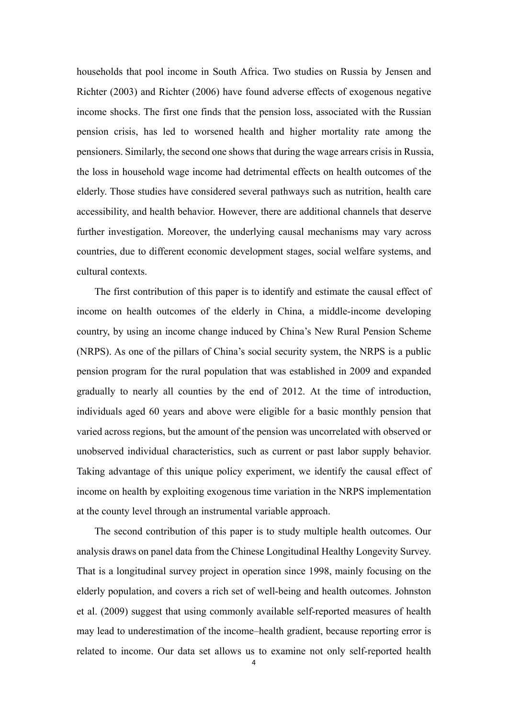households that pool income in South Africa. Two studies on Russia by Jensen and Richter (2003) and Richter (2006) have found adverse effects of exogenous negative income shocks. The first one finds that the pension loss, associated with the Russian pension crisis, has led to worsened health and higher mortality rate among the pensioners. Similarly, the second one shows that during the wage arrears crisis in Russia, the loss in household wage income had detrimental effects on health outcomes of the elderly. Those studies have considered several pathways such as nutrition, health care accessibility, and health behavior. However, there are additional channels that deserve further investigation. Moreover, the underlying causal mechanisms may vary across countries, due to different economic development stages, social welfare systems, and cultural contexts.

The first contribution of this paper is to identify and estimate the causal effect of income on health outcomes of the elderly in China, a middle-income developing country, by using an income change induced by China's New Rural Pension Scheme (NRPS). As one of the pillars of China's social security system, the NRPS is a public pension program for the rural population that was established in 2009 and expanded gradually to nearly all counties by the end of 2012. At the time of introduction, individuals aged 60 years and above were eligible for a basic monthly pension that varied across regions, but the amount of the pension was uncorrelated with observed or unobserved individual characteristics, such as current or past labor supply behavior. Taking advantage of this unique policy experiment, we identify the causal effect of income on health by exploiting exogenous time variation in the NRPS implementation at the county level through an instrumental variable approach.

The second contribution of this paper is to study multiple health outcomes. Our analysis draws on panel data from the Chinese Longitudinal Healthy Longevity Survey. That is a longitudinal survey project in operation since 1998, mainly focusing on the elderly population, and covers a rich set of well-being and health outcomes. Johnston et al. (2009) suggest that using commonly available self-reported measures of health may lead to underestimation of the income–health gradient, because reporting error is related to income. Our data set allows us to examine not only self-reported health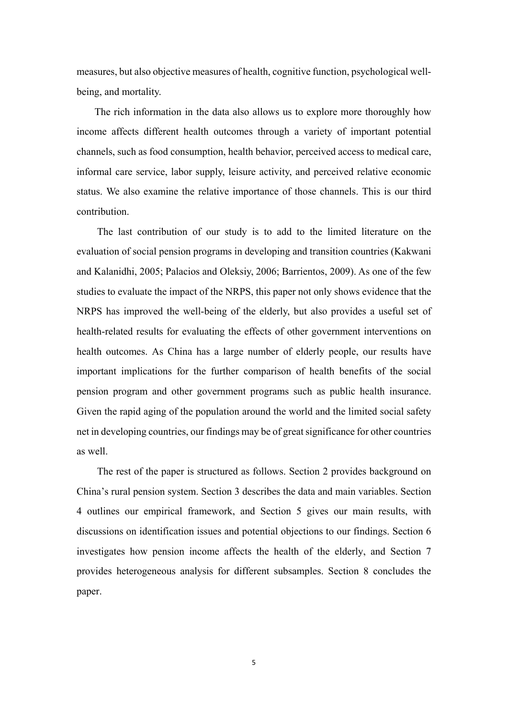measures, but also objective measures of health, cognitive function, psychological wellbeing, and mortality.

The rich information in the data also allows us to explore more thoroughly how income affects different health outcomes through a variety of important potential channels, such as food consumption, health behavior, perceived access to medical care, informal care service, labor supply, leisure activity, and perceived relative economic status. We also examine the relative importance of those channels. This is our third contribution.

The last contribution of our study is to add to the limited literature on the evaluation of social pension programs in developing and transition countries (Kakwani and Kalanidhi, 2005; Palacios and Oleksiy, 2006; Barrientos, 2009). As one of the few studies to evaluate the impact of the NRPS, this paper not only shows evidence that the NRPS has improved the well-being of the elderly, but also provides a useful set of health-related results for evaluating the effects of other government interventions on health outcomes. As China has a large number of elderly people, our results have important implications for the further comparison of health benefits of the social pension program and other government programs such as public health insurance. Given the rapid aging of the population around the world and the limited social safety net in developing countries, our findings may be of great significance for other countries as well.

The rest of the paper is structured as follows. Section 2 provides background on China's rural pension system. Section 3 describes the data and main variables. Section 4 outlines our empirical framework, and Section 5 gives our main results, with discussions on identification issues and potential objections to our findings. Section 6 investigates how pension income affects the health of the elderly, and Section 7 provides heterogeneous analysis for different subsamples. Section 8 concludes the paper.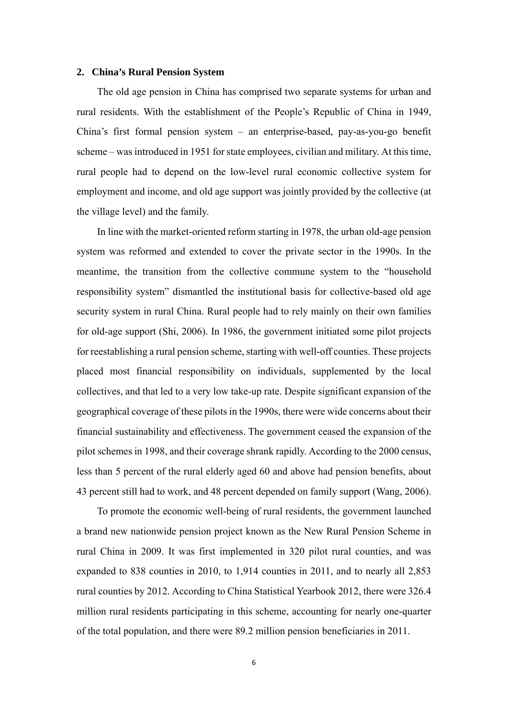#### **2. China's Rural Pension System**

The old age pension in China has comprised two separate systems for urban and rural residents. With the establishment of the People's Republic of China in 1949, China's first formal pension system – an enterprise-based, pay-as-you-go benefit scheme – was introduced in 1951 for state employees, civilian and military. At this time, rural people had to depend on the low-level rural economic collective system for employment and income, and old age support was jointly provided by the collective (at the village level) and the family.

In line with the market-oriented reform starting in 1978, the urban old-age pension system was reformed and extended to cover the private sector in the 1990s. In the meantime, the transition from the collective commune system to the "household responsibility system" dismantled the institutional basis for collective-based old age security system in rural China. Rural people had to rely mainly on their own families for old-age support (Shi, 2006). In 1986, the government initiated some pilot projects for reestablishing a rural pension scheme, starting with well-off counties. These projects placed most financial responsibility on individuals, supplemented by the local collectives, and that led to a very low take-up rate. Despite significant expansion of the geographical coverage of these pilots in the 1990s, there were wide concerns about their financial sustainability and effectiveness. The government ceased the expansion of the pilot schemes in 1998, and their coverage shrank rapidly. According to the 2000 census, less than 5 percent of the rural elderly aged 60 and above had pension benefits, about 43 percent still had to work, and 48 percent depended on family support (Wang, 2006).

To promote the economic well-being of rural residents, the government launched a brand new nationwide pension project known as the New Rural Pension Scheme in rural China in 2009. It was first implemented in 320 pilot rural counties, and was expanded to 838 counties in 2010, to 1,914 counties in 2011, and to nearly all 2,853 rural counties by 2012. According to China Statistical Yearbook 2012, there were 326.4 million rural residents participating in this scheme, accounting for nearly one-quarter of the total population, and there were 89.2 million pension beneficiaries in 2011.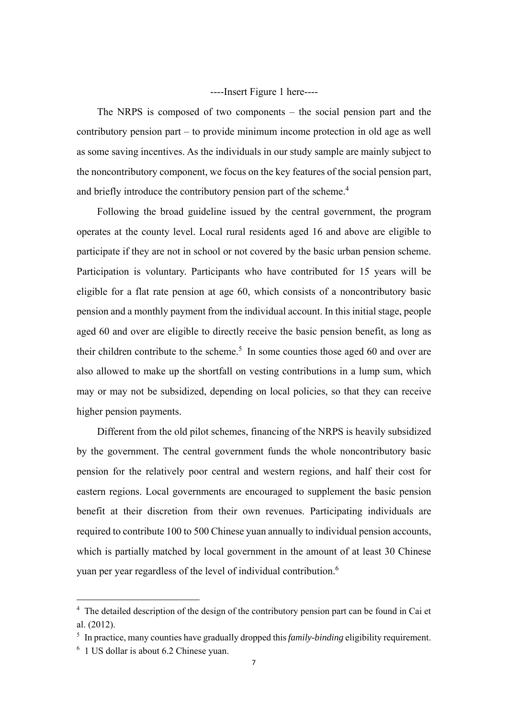----Insert Figure 1 here----

The NRPS is composed of two components – the social pension part and the contributory pension part – to provide minimum income protection in old age as well as some saving incentives. As the individuals in our study sample are mainly subject to the noncontributory component, we focus on the key features of the social pension part, and briefly introduce the contributory pension part of the scheme.<sup>4</sup>

Following the broad guideline issued by the central government, the program operates at the county level. Local rural residents aged 16 and above are eligible to participate if they are not in school or not covered by the basic urban pension scheme. Participation is voluntary. Participants who have contributed for 15 years will be eligible for a flat rate pension at age 60, which consists of a noncontributory basic pension and a monthly payment from the individual account. In this initial stage, people aged 60 and over are eligible to directly receive the basic pension benefit, as long as their children contribute to the scheme.<sup>5</sup> In some counties those aged 60 and over are also allowed to make up the shortfall on vesting contributions in a lump sum, which may or may not be subsidized, depending on local policies, so that they can receive higher pension payments.

Different from the old pilot schemes, financing of the NRPS is heavily subsidized by the government. The central government funds the whole noncontributory basic pension for the relatively poor central and western regions, and half their cost for eastern regions. Local governments are encouraged to supplement the basic pension benefit at their discretion from their own revenues. Participating individuals are required to contribute 100 to 500 Chinese yuan annually to individual pension accounts, which is partially matched by local government in the amount of at least 30 Chinese yuan per year regardless of the level of individual contribution.<sup>6</sup>

<sup>&</sup>lt;sup>4</sup> The detailed description of the design of the contributory pension part can be found in Cai et al. (2012).

<sup>&</sup>lt;sup>5</sup> In practice, many counties have gradually dropped this *family-binding* eligibility requirement.

<sup>6</sup> 1 US dollar is about 6.2 Chinese yuan.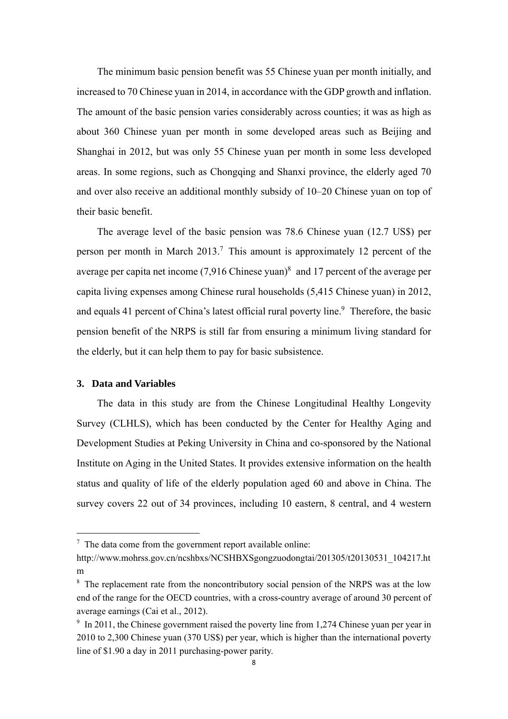The minimum basic pension benefit was 55 Chinese yuan per month initially, and increased to 70 Chinese yuan in 2014, in accordance with the GDP growth and inflation. The amount of the basic pension varies considerably across counties; it was as high as about 360 Chinese yuan per month in some developed areas such as Beijing and Shanghai in 2012, but was only 55 Chinese yuan per month in some less developed areas. In some regions, such as Chongqing and Shanxi province, the elderly aged 70 and over also receive an additional monthly subsidy of 10–20 Chinese yuan on top of their basic benefit.

The average level of the basic pension was 78.6 Chinese yuan (12.7 US\$) per person per month in March  $2013$ .<sup>7</sup> This amount is approximately 12 percent of the average per capita net income  $(7,916)$  Chinese yuan)<sup>8</sup> and 17 percent of the average per capita living expenses among Chinese rural households (5,415 Chinese yuan) in 2012, and equals 41 percent of China's latest official rural poverty line.<sup>9</sup> Therefore, the basic pension benefit of the NRPS is still far from ensuring a minimum living standard for the elderly, but it can help them to pay for basic subsistence.

#### **3. Data and Variables**

The data in this study are from the Chinese Longitudinal Healthy Longevity Survey (CLHLS), which has been conducted by the Center for Healthy Aging and Development Studies at Peking University in China and co-sponsored by the National Institute on Aging in the United States. It provides extensive information on the health status and quality of life of the elderly population aged 60 and above in China. The survey covers 22 out of 34 provinces, including 10 eastern, 8 central, and 4 western

 $7$  The data come from the government report available online:

http://www.mohrss.gov.cn/ncshbxs/NCSHBXSgongzuodongtai/201305/t20130531\_104217.ht m

<sup>&</sup>lt;sup>8</sup> The replacement rate from the noncontributory social pension of the NRPS was at the low end of the range for the OECD countries, with a cross-country average of around 30 percent of average earnings (Cai et al., 2012).

<sup>&</sup>lt;sup>9</sup> In 2011, the Chinese government raised the poverty line from 1,274 Chinese yuan per year in 2010 to 2,300 Chinese yuan (370 US\$) per year, which is higher than the international poverty line of \$1.90 a day in 2011 purchasing-power parity.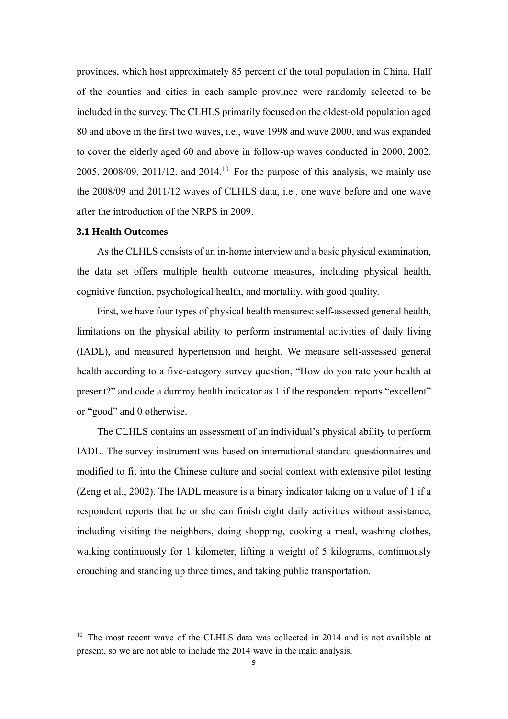provinces, which host approximately 85 percent of the total population in China. Half of the counties and cities in each sample province were randomly selected to be included in the survey. The CLHLS primarily focused on the oldest-old population aged 80 and above in the first two waves, i.e., wave 1998 and wave 2000, and was expanded to cover the elderly aged 60 and above in follow-up waves conducted in 2000, 2002, 2005, 2008/09, 2011/12, and 2014.<sup>10</sup> For the purpose of this analysis, we mainly use the 2008/09 and 2011/12 waves of CLHLS data, i.e., one wave before and one wave after the introduction of the NRPS in 2009.

#### **3.1 Health Outcomes**

As the CLHLS consists of an in-home interview and a basic physical examination, the data set offers multiple health outcome measures, including physical health, cognitive function, psychological health, and mortality, with good quality.

First, we have four types of physical health measures: self-assessed general health, limitations on the physical ability to perform instrumental activities of daily living (IADL), and measured hypertension and height. We measure self-assessed general health according to a five-category survey question, "How do you rate your health at present?" and code a dummy health indicator as 1 if the respondent reports "excellent" or "good" and 0 otherwise.

The CLHLS contains an assessment of an individual's physical ability to perform IADL. The survey instrument was based on international standard questionnaires and modified to fit into the Chinese culture and social context with extensive pilot testing (Zeng et al., 2002). The IADL measure is a binary indicator taking on a value of 1 if a respondent reports that he or she can finish eight daily activities without assistance, including visiting the neighbors, doing shopping, cooking a meal, washing clothes, walking continuously for 1 kilometer, lifting a weight of 5 kilograms, continuously crouching and standing up three times, and taking public transportation.

<sup>&</sup>lt;sup>10</sup> The most recent wave of the CLHLS data was collected in 2014 and is not available at present, so we are not able to include the 2014 wave in the main analysis.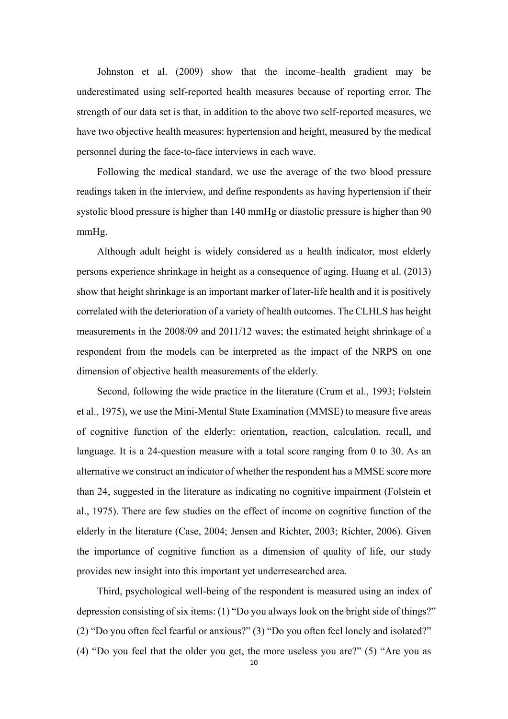Johnston et al. (2009) show that the income–health gradient may be underestimated using self-reported health measures because of reporting error. The strength of our data set is that, in addition to the above two self-reported measures, we have two objective health measures: hypertension and height, measured by the medical personnel during the face-to-face interviews in each wave.

Following the medical standard, we use the average of the two blood pressure readings taken in the interview, and define respondents as having hypertension if their systolic blood pressure is higher than 140 mmHg or diastolic pressure is higher than 90 mmHg.

Although adult height is widely considered as a health indicator, most elderly persons experience shrinkage in height as a consequence of aging. Huang et al. (2013) show that height shrinkage is an important marker of later-life health and it is positively correlated with the deterioration of a variety of health outcomes. The CLHLS has height measurements in the 2008/09 and 2011/12 waves; the estimated height shrinkage of a respondent from the models can be interpreted as the impact of the NRPS on one dimension of objective health measurements of the elderly.

Second, following the wide practice in the literature (Crum et al., 1993; Folstein et al., 1975), we use the Mini-Mental State Examination (MMSE) to measure five areas of cognitive function of the elderly: orientation, reaction, calculation, recall, and language. It is a 24-question measure with a total score ranging from 0 to 30. As an alternative we construct an indicator of whether the respondent has a MMSE score more than 24, suggested in the literature as indicating no cognitive impairment (Folstein et al., 1975). There are few studies on the effect of income on cognitive function of the elderly in the literature (Case, 2004; Jensen and Richter, 2003; Richter, 2006). Given the importance of cognitive function as a dimension of quality of life, our study provides new insight into this important yet underresearched area.

Third, psychological well-being of the respondent is measured using an index of depression consisting of six items: (1) "Do you always look on the bright side of things?" (2) "Do you often feel fearful or anxious?" (3) "Do you often feel lonely and isolated?" (4) "Do you feel that the older you get, the more useless you are?" (5) "Are you as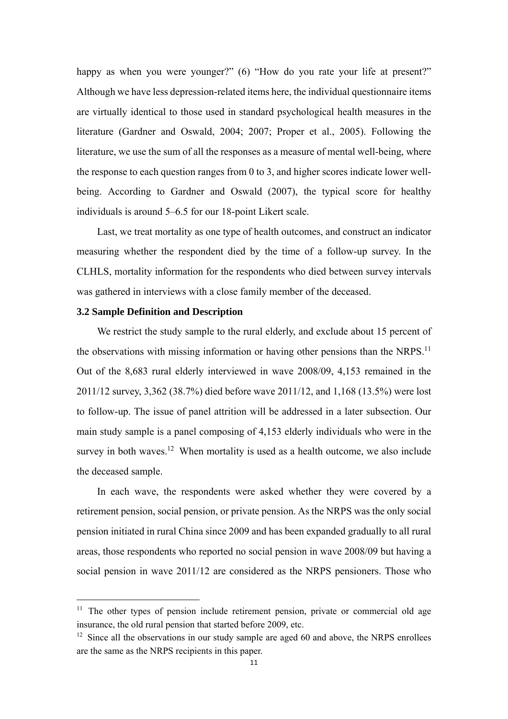happy as when you were younger?" (6) "How do you rate your life at present?" Although we have less depression-related items here, the individual questionnaire items are virtually identical to those used in standard psychological health measures in the literature (Gardner and Oswald, 2004; 2007; Proper et al., 2005). Following the literature, we use the sum of all the responses as a measure of mental well-being, where the response to each question ranges from 0 to 3, and higher scores indicate lower wellbeing. According to Gardner and Oswald (2007), the typical score for healthy individuals is around 5–6.5 for our 18-point Likert scale.

Last, we treat mortality as one type of health outcomes, and construct an indicator measuring whether the respondent died by the time of a follow-up survey. In the CLHLS, mortality information for the respondents who died between survey intervals was gathered in interviews with a close family member of the deceased.

#### **3.2 Sample Definition and Description**

We restrict the study sample to the rural elderly, and exclude about 15 percent of the observations with missing information or having other pensions than the NRPS.<sup>11</sup> Out of the 8,683 rural elderly interviewed in wave 2008/09, 4,153 remained in the 2011/12 survey, 3,362 (38.7%) died before wave 2011/12, and 1,168 (13.5%) were lost to follow-up. The issue of panel attrition will be addressed in a later subsection. Our main study sample is a panel composing of 4,153 elderly individuals who were in the survey in both waves.<sup>12</sup> When mortality is used as a health outcome, we also include the deceased sample.

In each wave, the respondents were asked whether they were covered by a retirement pension, social pension, or private pension. As the NRPS was the only social pension initiated in rural China since 2009 and has been expanded gradually to all rural areas, those respondents who reported no social pension in wave 2008/09 but having a social pension in wave 2011/12 are considered as the NRPS pensioners. Those who

 $11$  The other types of pension include retirement pension, private or commercial old age insurance, the old rural pension that started before 2009, etc.

 $12$  Since all the observations in our study sample are aged 60 and above, the NRPS enrollees are the same as the NRPS recipients in this paper.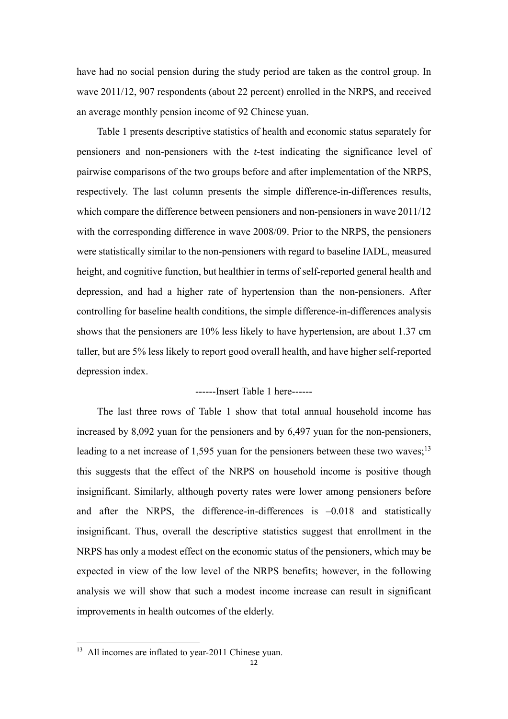have had no social pension during the study period are taken as the control group. In wave 2011/12, 907 respondents (about 22 percent) enrolled in the NRPS, and received an average monthly pension income of 92 Chinese yuan.

Table 1 presents descriptive statistics of health and economic status separately for pensioners and non-pensioners with the *t*-test indicating the significance level of pairwise comparisons of the two groups before and after implementation of the NRPS, respectively. The last column presents the simple difference-in-differences results, which compare the difference between pensioners and non-pensioners in wave 2011/12 with the corresponding difference in wave 2008/09. Prior to the NRPS, the pensioners were statistically similar to the non-pensioners with regard to baseline IADL, measured height, and cognitive function, but healthier in terms of self-reported general health and depression, and had a higher rate of hypertension than the non-pensioners. After controlling for baseline health conditions, the simple difference-in-differences analysis shows that the pensioners are 10% less likely to have hypertension, are about 1.37 cm taller, but are 5% less likely to report good overall health, and have higher self-reported depression index.

#### ------Insert Table 1 here------

The last three rows of Table 1 show that total annual household income has increased by 8,092 yuan for the pensioners and by 6,497 yuan for the non-pensioners, leading to a net increase of 1,595 yuan for the pensioners between these two waves;<sup>13</sup> this suggests that the effect of the NRPS on household income is positive though insignificant. Similarly, although poverty rates were lower among pensioners before and after the NRPS, the difference-in-differences is  $-0.018$  and statistically insignificant. Thus, overall the descriptive statistics suggest that enrollment in the NRPS has only a modest effect on the economic status of the pensioners, which may be expected in view of the low level of the NRPS benefits; however, in the following analysis we will show that such a modest income increase can result in significant improvements in health outcomes of the elderly.

<sup>&</sup>lt;sup>13</sup> All incomes are inflated to year-2011 Chinese yuan.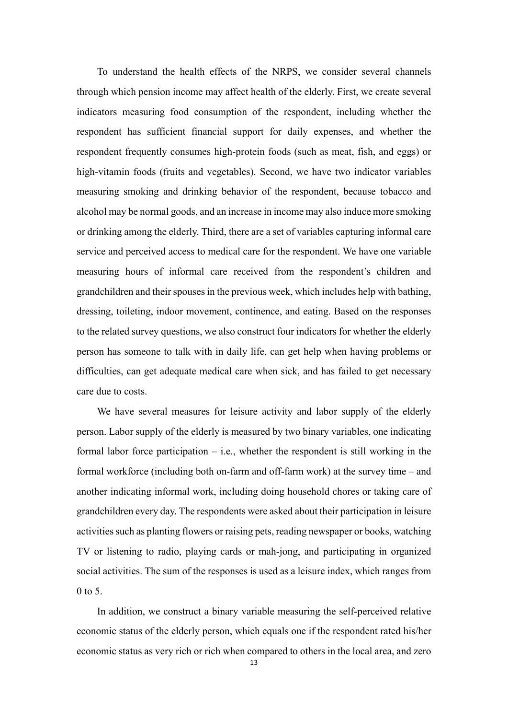To understand the health effects of the NRPS, we consider several channels through which pension income may affect health of the elderly. First, we create several indicators measuring food consumption of the respondent, including whether the respondent has sufficient financial support for daily expenses, and whether the respondent frequently consumes high-protein foods (such as meat, fish, and eggs) or high-vitamin foods (fruits and vegetables). Second, we have two indicator variables measuring smoking and drinking behavior of the respondent, because tobacco and alcohol may be normal goods, and an increase in income may also induce more smoking or drinking among the elderly. Third, there are a set of variables capturing informal care service and perceived access to medical care for the respondent. We have one variable measuring hours of informal care received from the respondent's children and grandchildren and their spouses in the previous week, which includes help with bathing, dressing, toileting, indoor movement, continence, and eating. Based on the responses to the related survey questions, we also construct four indicators for whether the elderly person has someone to talk with in daily life, can get help when having problems or difficulties, can get adequate medical care when sick, and has failed to get necessary care due to costs.

We have several measures for leisure activity and labor supply of the elderly person. Labor supply of the elderly is measured by two binary variables, one indicating formal labor force participation – i.e., whether the respondent is still working in the formal workforce (including both on-farm and off-farm work) at the survey time – and another indicating informal work, including doing household chores or taking care of grandchildren every day. The respondents were asked about their participation in leisure activities such as planting flowers or raising pets, reading newspaper or books, watching TV or listening to radio, playing cards or mah-jong, and participating in organized social activities. The sum of the responses is used as a leisure index, which ranges from  $0$  to 5.

In addition, we construct a binary variable measuring the self-perceived relative economic status of the elderly person, which equals one if the respondent rated his/her economic status as very rich or rich when compared to others in the local area, and zero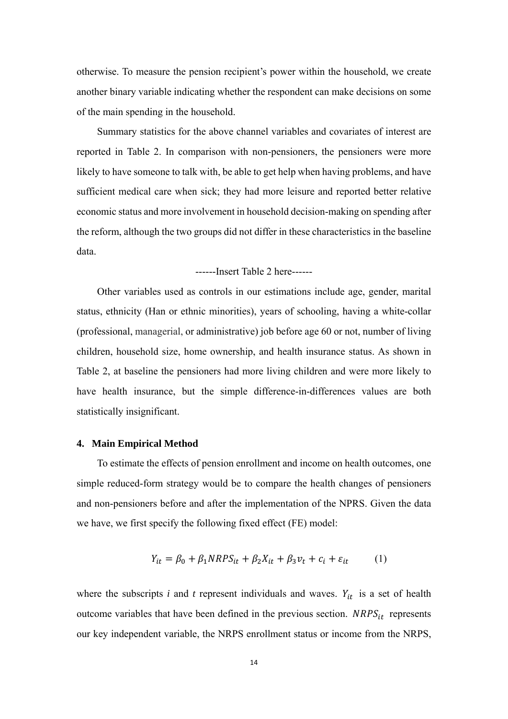otherwise. To measure the pension recipient's power within the household, we create another binary variable indicating whether the respondent can make decisions on some of the main spending in the household.

Summary statistics for the above channel variables and covariates of interest are reported in Table 2. In comparison with non-pensioners, the pensioners were more likely to have someone to talk with, be able to get help when having problems, and have sufficient medical care when sick; they had more leisure and reported better relative economic status and more involvement in household decision-making on spending after the reform, although the two groups did not differ in these characteristics in the baseline data.

------Insert Table 2 here------

Other variables used as controls in our estimations include age, gender, marital status, ethnicity (Han or ethnic minorities), years of schooling, having a white-collar (professional, managerial, or administrative) job before age 60 or not, number of living children, household size, home ownership, and health insurance status. As shown in Table 2, at baseline the pensioners had more living children and were more likely to have health insurance, but the simple difference-in-differences values are both statistically insignificant.

#### **4. Main Empirical Method**

To estimate the effects of pension enrollment and income on health outcomes, one simple reduced-form strategy would be to compare the health changes of pensioners and non-pensioners before and after the implementation of the NPRS. Given the data we have, we first specify the following fixed effect (FE) model:

$$
Y_{it} = \beta_0 + \beta_1 N R P S_{it} + \beta_2 X_{it} + \beta_3 v_t + c_i + \varepsilon_{it}
$$
 (1)

where the subscripts  $i$  and  $t$  represent individuals and waves.  $Y_{it}$  is a set of health outcome variables that have been defined in the previous section.  $NRPS_{it}$  represents our key independent variable, the NRPS enrollment status or income from the NRPS,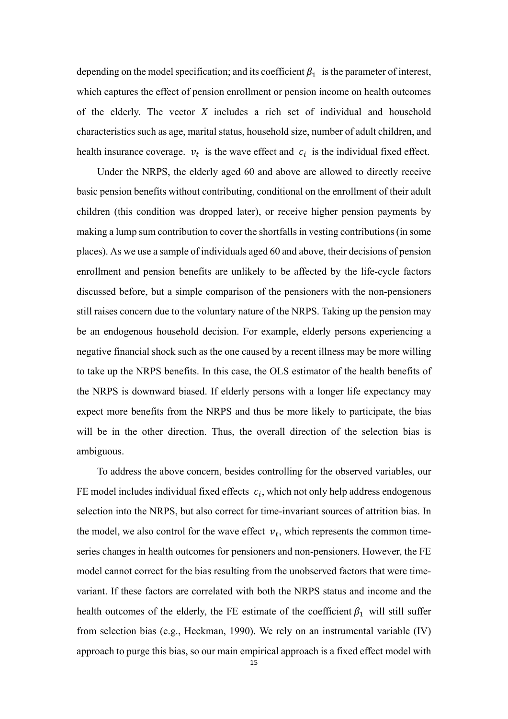depending on the model specification; and its coefficient  $\beta_1$  is the parameter of interest, which captures the effect of pension enrollment or pension income on health outcomes of the elderly. The vector *X* includes a rich set of individual and household characteristics such as age, marital status, household size, number of adult children, and health insurance coverage.  $v_t$  is the wave effect and  $c_i$  is the individual fixed effect.

Under the NRPS, the elderly aged 60 and above are allowed to directly receive basic pension benefits without contributing, conditional on the enrollment of their adult children (this condition was dropped later), or receive higher pension payments by making a lump sum contribution to cover the shortfalls in vesting contributions (in some places). As we use a sample of individuals aged 60 and above, their decisions of pension enrollment and pension benefits are unlikely to be affected by the life-cycle factors discussed before, but a simple comparison of the pensioners with the non-pensioners still raises concern due to the voluntary nature of the NRPS. Taking up the pension may be an endogenous household decision. For example, elderly persons experiencing a negative financial shock such as the one caused by a recent illness may be more willing to take up the NRPS benefits. In this case, the OLS estimator of the health benefits of the NRPS is downward biased. If elderly persons with a longer life expectancy may expect more benefits from the NRPS and thus be more likely to participate, the bias will be in the other direction. Thus, the overall direction of the selection bias is ambiguous.

To address the above concern, besides controlling for the observed variables, our FE model includes individual fixed effects  $c_i$ , which not only help address endogenous selection into the NRPS, but also correct for time-invariant sources of attrition bias. In the model, we also control for the wave effect  $v_t$ , which represents the common timeseries changes in health outcomes for pensioners and non-pensioners. However, the FE model cannot correct for the bias resulting from the unobserved factors that were timevariant. If these factors are correlated with both the NRPS status and income and the health outcomes of the elderly, the FE estimate of the coefficient  $\beta_1$  will still suffer from selection bias (e.g., Heckman, 1990). We rely on an instrumental variable (IV) approach to purge this bias, so our main empirical approach is a fixed effect model with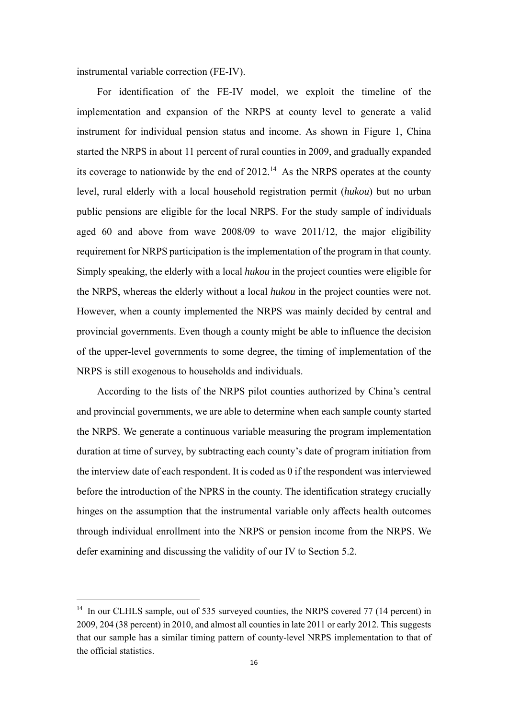instrumental variable correction (FE-IV).

For identification of the FE-IV model, we exploit the timeline of the implementation and expansion of the NRPS at county level to generate a valid instrument for individual pension status and income. As shown in Figure 1, China started the NRPS in about 11 percent of rural counties in 2009, and gradually expanded its coverage to nationwide by the end of  $2012<sup>14</sup>$ . As the NRPS operates at the county level, rural elderly with a local household registration permit (*hukou*) but no urban public pensions are eligible for the local NRPS. For the study sample of individuals aged 60 and above from wave 2008/09 to wave 2011/12, the major eligibility requirement for NRPS participation is the implementation of the program in that county. Simply speaking, the elderly with a local *hukou* in the project counties were eligible for the NRPS, whereas the elderly without a local *hukou* in the project counties were not. However, when a county implemented the NRPS was mainly decided by central and provincial governments. Even though a county might be able to influence the decision of the upper-level governments to some degree, the timing of implementation of the NRPS is still exogenous to households and individuals.

According to the lists of the NRPS pilot counties authorized by China's central and provincial governments, we are able to determine when each sample county started the NRPS. We generate a continuous variable measuring the program implementation duration at time of survey, by subtracting each county's date of program initiation from the interview date of each respondent. It is coded as 0 if the respondent was interviewed before the introduction of the NPRS in the county. The identification strategy crucially hinges on the assumption that the instrumental variable only affects health outcomes through individual enrollment into the NRPS or pension income from the NRPS. We defer examining and discussing the validity of our IV to Section 5.2.

<sup>&</sup>lt;sup>14</sup> In our CLHLS sample, out of 535 surveyed counties, the NRPS covered 77 (14 percent) in 2009, 204 (38 percent) in 2010, and almost all counties in late 2011 or early 2012. This suggests that our sample has a similar timing pattern of county-level NRPS implementation to that of the official statistics.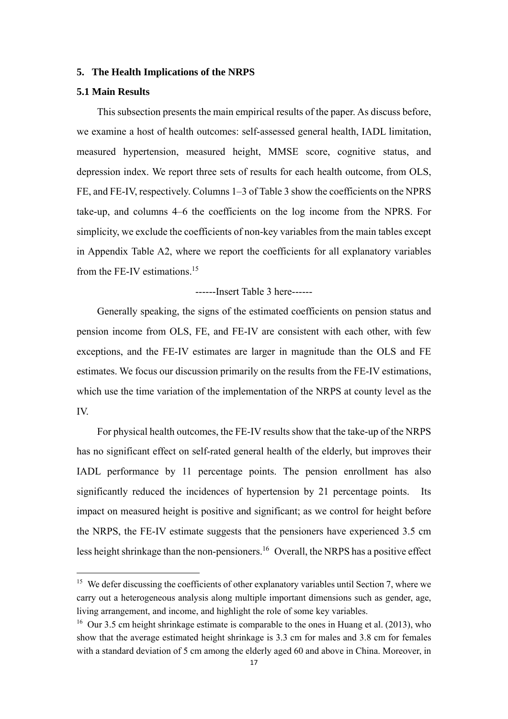#### **5. The Health Implications of the NRPS**

### **5.1 Main Results**

This subsection presents the main empirical results of the paper. As discuss before, we examine a host of health outcomes: self-assessed general health, IADL limitation, measured hypertension, measured height, MMSE score, cognitive status, and depression index. We report three sets of results for each health outcome, from OLS, FE, and FE-IV, respectively. Columns 1–3 of Table 3 show the coefficients on the NPRS take-up, and columns 4–6 the coefficients on the log income from the NPRS. For simplicity, we exclude the coefficients of non-key variables from the main tables except in Appendix Table A2, where we report the coefficients for all explanatory variables from the FE-IV estimations.15

#### ------Insert Table 3 here------

Generally speaking, the signs of the estimated coefficients on pension status and pension income from OLS, FE, and FE-IV are consistent with each other, with few exceptions, and the FE-IV estimates are larger in magnitude than the OLS and FE estimates. We focus our discussion primarily on the results from the FE-IV estimations, which use the time variation of the implementation of the NRPS at county level as the IV.

For physical health outcomes, the FE-IV results show that the take-up of the NRPS has no significant effect on self-rated general health of the elderly, but improves their IADL performance by 11 percentage points. The pension enrollment has also significantly reduced the incidences of hypertension by 21 percentage points. Its impact on measured height is positive and significant; as we control for height before the NRPS, the FE-IV estimate suggests that the pensioners have experienced 3.5 cm less height shrinkage than the non-pensioners.<sup>16</sup> Overall, the NRPS has a positive effect

<sup>&</sup>lt;sup>15</sup> We defer discussing the coefficients of other explanatory variables until Section 7, where we carry out a heterogeneous analysis along multiple important dimensions such as gender, age, living arrangement, and income, and highlight the role of some key variables.

<sup>&</sup>lt;sup>16</sup> Our 3.5 cm height shrinkage estimate is comparable to the ones in Huang et al. (2013), who show that the average estimated height shrinkage is 3.3 cm for males and 3.8 cm for females with a standard deviation of 5 cm among the elderly aged 60 and above in China. Moreover, in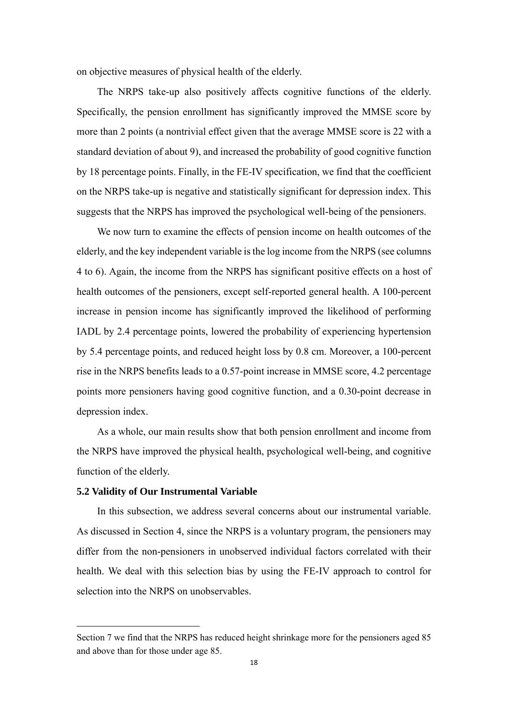on objective measures of physical health of the elderly.

The NRPS take-up also positively affects cognitive functions of the elderly. Specifically, the pension enrollment has significantly improved the MMSE score by more than 2 points (a nontrivial effect given that the average MMSE score is 22 with a standard deviation of about 9), and increased the probability of good cognitive function by 18 percentage points. Finally, in the FE-IV specification, we find that the coefficient on the NRPS take-up is negative and statistically significant for depression index. This suggests that the NRPS has improved the psychological well-being of the pensioners.

We now turn to examine the effects of pension income on health outcomes of the elderly, and the key independent variable is the log income from the NRPS (see columns 4 to 6). Again, the income from the NRPS has significant positive effects on a host of health outcomes of the pensioners, except self-reported general health. A 100-percent increase in pension income has significantly improved the likelihood of performing IADL by 2.4 percentage points, lowered the probability of experiencing hypertension by 5.4 percentage points, and reduced height loss by 0.8 cm. Moreover, a 100-percent rise in the NRPS benefits leads to a 0.57-point increase in MMSE score, 4.2 percentage points more pensioners having good cognitive function, and a 0.30-point decrease in depression index.

As a whole, our main results show that both pension enrollment and income from the NRPS have improved the physical health, psychological well-being, and cognitive function of the elderly.

#### **5.2 Validity of Our Instrumental Variable**

In this subsection, we address several concerns about our instrumental variable. As discussed in Section 4, since the NRPS is a voluntary program, the pensioners may differ from the non-pensioners in unobserved individual factors correlated with their health. We deal with this selection bias by using the FE-IV approach to control for selection into the NRPS on unobservables.

Section 7 we find that the NRPS has reduced height shrinkage more for the pensioners aged 85 and above than for those under age 85.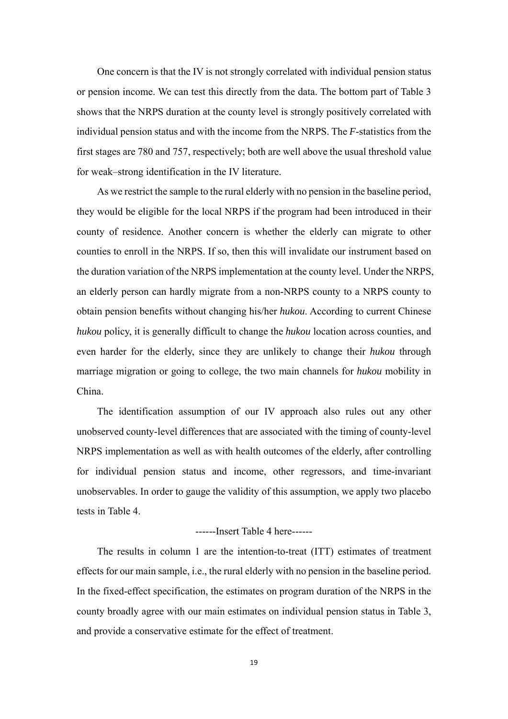One concern is that the IV is not strongly correlated with individual pension status or pension income. We can test this directly from the data. The bottom part of Table 3 shows that the NRPS duration at the county level is strongly positively correlated with individual pension status and with the income from the NRPS. The *F*-statistics from the first stages are 780 and 757, respectively; both are well above the usual threshold value for weak–strong identification in the IV literature.

As we restrict the sample to the rural elderly with no pension in the baseline period, they would be eligible for the local NRPS if the program had been introduced in their county of residence. Another concern is whether the elderly can migrate to other counties to enroll in the NRPS. If so, then this will invalidate our instrument based on the duration variation of the NRPS implementation at the county level. Under the NRPS, an elderly person can hardly migrate from a non-NRPS county to a NRPS county to obtain pension benefits without changing his/her *hukou*. According to current Chinese *hukou* policy, it is generally difficult to change the *hukou* location across counties, and even harder for the elderly, since they are unlikely to change their *hukou* through marriage migration or going to college, the two main channels for *hukou* mobility in China.

The identification assumption of our IV approach also rules out any other unobserved county-level differences that are associated with the timing of county-level NRPS implementation as well as with health outcomes of the elderly, after controlling for individual pension status and income, other regressors, and time-invariant unobservables. In order to gauge the validity of this assumption, we apply two placebo tests in Table 4.

#### ------Insert Table 4 here------

The results in column 1 are the intention-to-treat (ITT) estimates of treatment effects for our main sample, i.e., the rural elderly with no pension in the baseline period. In the fixed-effect specification, the estimates on program duration of the NRPS in the county broadly agree with our main estimates on individual pension status in Table 3, and provide a conservative estimate for the effect of treatment.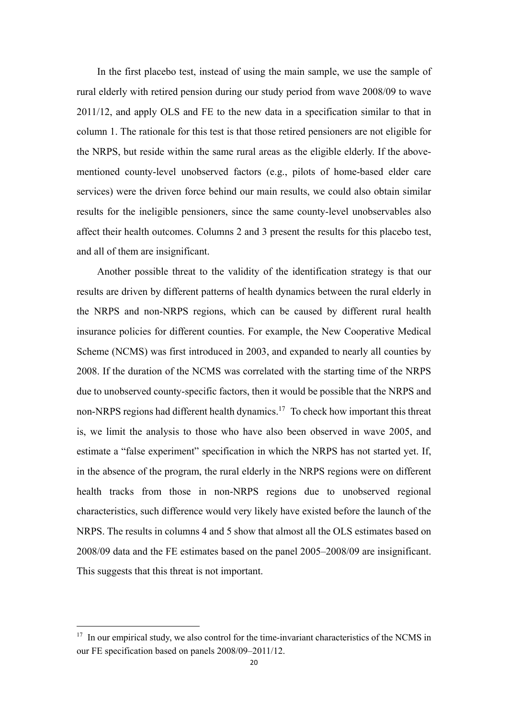In the first placebo test, instead of using the main sample, we use the sample of rural elderly with retired pension during our study period from wave 2008/09 to wave 2011/12, and apply OLS and FE to the new data in a specification similar to that in column 1. The rationale for this test is that those retired pensioners are not eligible for the NRPS, but reside within the same rural areas as the eligible elderly. If the abovementioned county-level unobserved factors (e.g., pilots of home-based elder care services) were the driven force behind our main results, we could also obtain similar results for the ineligible pensioners, since the same county-level unobservables also affect their health outcomes. Columns 2 and 3 present the results for this placebo test, and all of them are insignificant.

Another possible threat to the validity of the identification strategy is that our results are driven by different patterns of health dynamics between the rural elderly in the NRPS and non-NRPS regions, which can be caused by different rural health insurance policies for different counties. For example, the New Cooperative Medical Scheme (NCMS) was first introduced in 2003, and expanded to nearly all counties by 2008. If the duration of the NCMS was correlated with the starting time of the NRPS due to unobserved county-specific factors, then it would be possible that the NRPS and non-NRPS regions had different health dynamics.<sup>17</sup> To check how important this threat is, we limit the analysis to those who have also been observed in wave 2005, and estimate a "false experiment" specification in which the NRPS has not started yet. If, in the absence of the program, the rural elderly in the NRPS regions were on different health tracks from those in non-NRPS regions due to unobserved regional characteristics, such difference would very likely have existed before the launch of the NRPS. The results in columns 4 and 5 show that almost all the OLS estimates based on 2008/09 data and the FE estimates based on the panel 2005–2008/09 are insignificant. This suggests that this threat is not important.

<sup>&</sup>lt;sup>17</sup> In our empirical study, we also control for the time-invariant characteristics of the NCMS in our FE specification based on panels 2008/09–2011/12.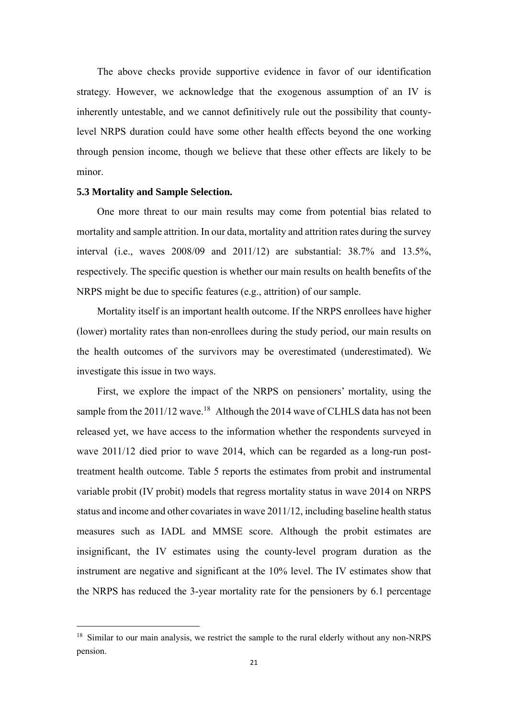The above checks provide supportive evidence in favor of our identification strategy. However, we acknowledge that the exogenous assumption of an IV is inherently untestable, and we cannot definitively rule out the possibility that countylevel NRPS duration could have some other health effects beyond the one working through pension income, though we believe that these other effects are likely to be minor.

#### **5.3 Mortality and Sample Selection.**

One more threat to our main results may come from potential bias related to mortality and sample attrition. In our data, mortality and attrition rates during the survey interval (i.e., waves 2008/09 and 2011/12) are substantial: 38.7% and 13.5%, respectively. The specific question is whether our main results on health benefits of the NRPS might be due to specific features (e.g., attrition) of our sample.

Mortality itself is an important health outcome. If the NRPS enrollees have higher (lower) mortality rates than non-enrollees during the study period, our main results on the health outcomes of the survivors may be overestimated (underestimated). We investigate this issue in two ways.

First, we explore the impact of the NRPS on pensioners' mortality, using the sample from the 2011/12 wave.<sup>18</sup> Although the 2014 wave of CLHLS data has not been released yet, we have access to the information whether the respondents surveyed in wave 2011/12 died prior to wave 2014, which can be regarded as a long-run posttreatment health outcome. Table 5 reports the estimates from probit and instrumental variable probit (IV probit) models that regress mortality status in wave 2014 on NRPS status and income and other covariates in wave 2011/12, including baseline health status measures such as IADL and MMSE score. Although the probit estimates are insignificant, the IV estimates using the county-level program duration as the instrument are negative and significant at the 10% level. The IV estimates show that the NRPS has reduced the 3-year mortality rate for the pensioners by 6.1 percentage

<sup>&</sup>lt;sup>18</sup> Similar to our main analysis, we restrict the sample to the rural elderly without any non-NRPS pension.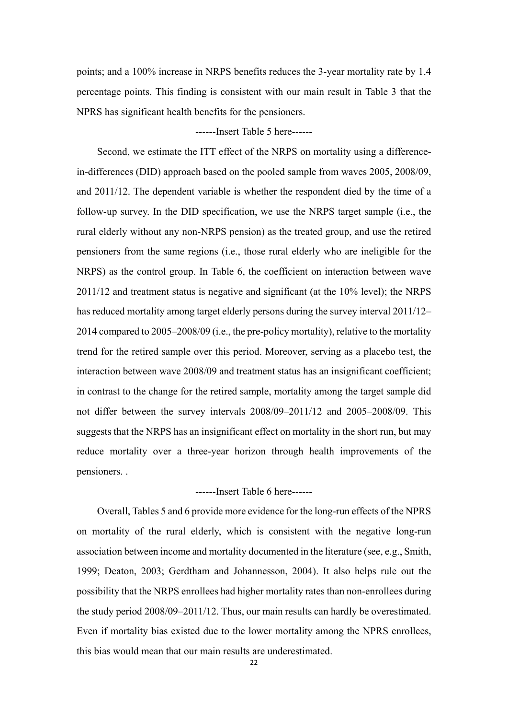points; and a 100% increase in NRPS benefits reduces the 3-year mortality rate by 1.4 percentage points. This finding is consistent with our main result in Table 3 that the NPRS has significant health benefits for the pensioners.

#### ------Insert Table 5 here------

Second, we estimate the ITT effect of the NRPS on mortality using a differencein-differences (DID) approach based on the pooled sample from waves 2005, 2008/09, and 2011/12. The dependent variable is whether the respondent died by the time of a follow-up survey. In the DID specification, we use the NRPS target sample (i.e., the rural elderly without any non-NRPS pension) as the treated group, and use the retired pensioners from the same regions (i.e., those rural elderly who are ineligible for the NRPS) as the control group. In Table 6, the coefficient on interaction between wave 2011/12 and treatment status is negative and significant (at the 10% level); the NRPS has reduced mortality among target elderly persons during the survey interval 2011/12– 2014 compared to 2005–2008/09 (i.e., the pre-policy mortality), relative to the mortality trend for the retired sample over this period. Moreover, serving as a placebo test, the interaction between wave 2008/09 and treatment status has an insignificant coefficient; in contrast to the change for the retired sample, mortality among the target sample did not differ between the survey intervals 2008/09–2011/12 and 2005–2008/09. This suggests that the NRPS has an insignificant effect on mortality in the short run, but may reduce mortality over a three-year horizon through health improvements of the pensioners. .

#### ------Insert Table 6 here------

Overall, Tables 5 and 6 provide more evidence for the long-run effects of the NPRS on mortality of the rural elderly, which is consistent with the negative long-run association between income and mortality documented in the literature (see, e.g., Smith, 1999; Deaton, 2003; Gerdtham and Johannesson, 2004). It also helps rule out the possibility that the NRPS enrollees had higher mortality rates than non-enrollees during the study period 2008/09–2011/12. Thus, our main results can hardly be overestimated. Even if mortality bias existed due to the lower mortality among the NPRS enrollees, this bias would mean that our main results are underestimated.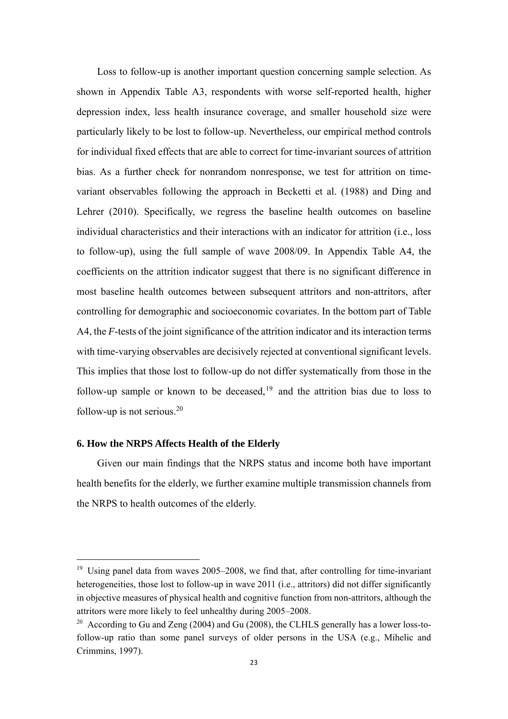Loss to follow-up is another important question concerning sample selection. As shown in Appendix Table A3, respondents with worse self-reported health, higher depression index, less health insurance coverage, and smaller household size were particularly likely to be lost to follow-up. Nevertheless, our empirical method controls for individual fixed effects that are able to correct for time-invariant sources of attrition bias. As a further check for nonrandom nonresponse, we test for attrition on timevariant observables following the approach in Becketti et al. (1988) and Ding and Lehrer (2010). Specifically, we regress the baseline health outcomes on baseline individual characteristics and their interactions with an indicator for attrition (i.e., loss to follow-up), using the full sample of wave 2008/09. In Appendix Table A4, the coefficients on the attrition indicator suggest that there is no significant difference in most baseline health outcomes between subsequent attritors and non-attritors, after controlling for demographic and socioeconomic covariates. In the bottom part of Table A4, the *F*-tests of the joint significance of the attrition indicator and its interaction terms with time-varying observables are decisively rejected at conventional significant levels. This implies that those lost to follow-up do not differ systematically from those in the follow-up sample or known to be deceased,<sup>19</sup> and the attrition bias due to loss to follow-up is not serious. $20$ 

#### **6. How the NRPS Affects Health of the Elderly**

Given our main findings that the NRPS status and income both have important health benefits for the elderly, we further examine multiple transmission channels from the NRPS to health outcomes of the elderly.

<sup>&</sup>lt;sup>19</sup> Using panel data from waves 2005–2008, we find that, after controlling for time-invariant heterogeneities, those lost to follow-up in wave 2011 (i.e., attritors) did not differ significantly in objective measures of physical health and cognitive function from non-attritors, although the attritors were more likely to feel unhealthy during 2005–2008.

<sup>&</sup>lt;sup>20</sup> According to Gu and Zeng (2004) and Gu (2008), the CLHLS generally has a lower loss-tofollow-up ratio than some panel surveys of older persons in the USA (e.g., Mihelic and Crimmins, 1997).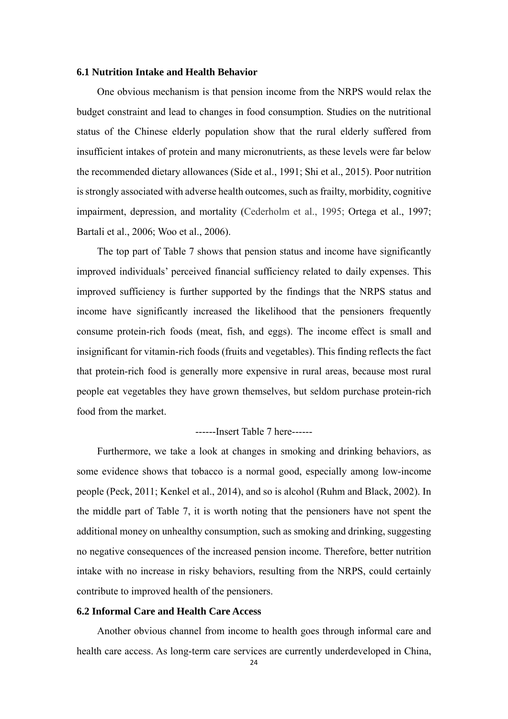#### **6.1 Nutrition Intake and Health Behavior**

One obvious mechanism is that pension income from the NRPS would relax the budget constraint and lead to changes in food consumption. Studies on the nutritional status of the Chinese elderly population show that the rural elderly suffered from insufficient intakes of protein and many micronutrients, as these levels were far below the recommended dietary allowances (Side et al., 1991; Shi et al., 2015). Poor nutrition is strongly associated with adverse health outcomes, such as frailty, morbidity, cognitive impairment, depression, and mortality (Cederholm et al., 1995; Ortega et al., 1997; Bartali et al., 2006; Woo et al., 2006).

The top part of Table 7 shows that pension status and income have significantly improved individuals' perceived financial sufficiency related to daily expenses. This improved sufficiency is further supported by the findings that the NRPS status and income have significantly increased the likelihood that the pensioners frequently consume protein-rich foods (meat, fish, and eggs). The income effect is small and insignificant for vitamin-rich foods (fruits and vegetables). This finding reflects the fact that protein-rich food is generally more expensive in rural areas, because most rural people eat vegetables they have grown themselves, but seldom purchase protein-rich food from the market.

#### ------Insert Table 7 here------

Furthermore, we take a look at changes in smoking and drinking behaviors, as some evidence shows that tobacco is a normal good, especially among low-income people (Peck, 2011; Kenkel et al., 2014), and so is alcohol (Ruhm and Black, 2002). In the middle part of Table 7, it is worth noting that the pensioners have not spent the additional money on unhealthy consumption, such as smoking and drinking, suggesting no negative consequences of the increased pension income. Therefore, better nutrition intake with no increase in risky behaviors, resulting from the NRPS, could certainly contribute to improved health of the pensioners.

#### **6.2 Informal Care and Health Care Access**

Another obvious channel from income to health goes through informal care and health care access. As long-term care services are currently underdeveloped in China,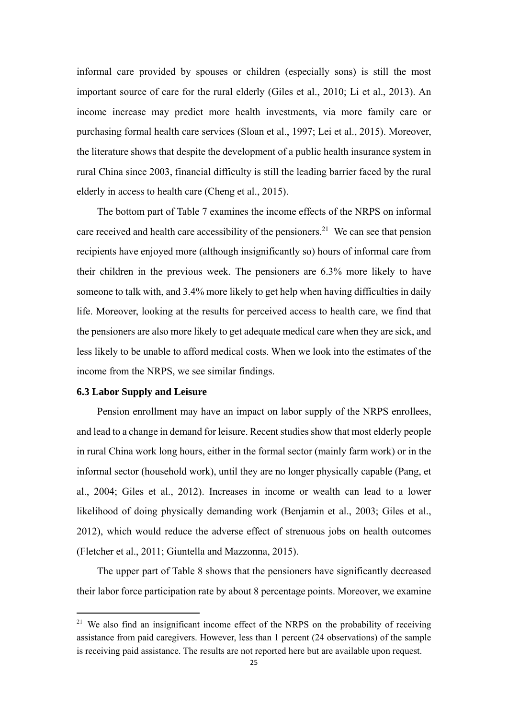informal care provided by spouses or children (especially sons) is still the most important source of care for the rural elderly (Giles et al., 2010; Li et al., 2013). An income increase may predict more health investments, via more family care or purchasing formal health care services (Sloan et al., 1997; Lei et al., 2015). Moreover, the literature shows that despite the development of a public health insurance system in rural China since 2003, financial difficulty is still the leading barrier faced by the rural elderly in access to health care (Cheng et al., 2015).

The bottom part of Table 7 examines the income effects of the NRPS on informal care received and health care accessibility of the pensioners.<sup>21</sup> We can see that pension recipients have enjoyed more (although insignificantly so) hours of informal care from their children in the previous week. The pensioners are 6.3% more likely to have someone to talk with, and 3.4% more likely to get help when having difficulties in daily life. Moreover, looking at the results for perceived access to health care, we find that the pensioners are also more likely to get adequate medical care when they are sick, and less likely to be unable to afford medical costs. When we look into the estimates of the income from the NRPS, we see similar findings.

#### **6.3 Labor Supply and Leisure**

Pension enrollment may have an impact on labor supply of the NRPS enrollees, and lead to a change in demand for leisure. Recent studies show that most elderly people in rural China work long hours, either in the formal sector (mainly farm work) or in the informal sector (household work), until they are no longer physically capable (Pang, et al., 2004; Giles et al., 2012). Increases in income or wealth can lead to a lower likelihood of doing physically demanding work (Benjamin et al., 2003; Giles et al., 2012), which would reduce the adverse effect of strenuous jobs on health outcomes (Fletcher et al., 2011; Giuntella and Mazzonna, 2015).

The upper part of Table 8 shows that the pensioners have significantly decreased their labor force participation rate by about 8 percentage points. Moreover, we examine

 $21$  We also find an insignificant income effect of the NRPS on the probability of receiving assistance from paid caregivers. However, less than 1 percent (24 observations) of the sample is receiving paid assistance. The results are not reported here but are available upon request.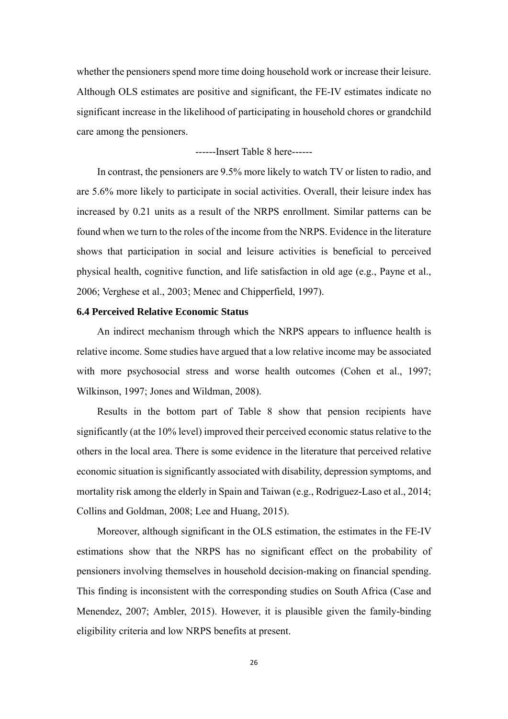whether the pensioners spend more time doing household work or increase their leisure. Although OLS estimates are positive and significant, the FE-IV estimates indicate no significant increase in the likelihood of participating in household chores or grandchild care among the pensioners.

------Insert Table 8 here------

In contrast, the pensioners are 9.5% more likely to watch TV or listen to radio, and are 5.6% more likely to participate in social activities. Overall, their leisure index has increased by 0.21 units as a result of the NRPS enrollment. Similar patterns can be found when we turn to the roles of the income from the NRPS. Evidence in the literature shows that participation in social and leisure activities is beneficial to perceived physical health, cognitive function, and life satisfaction in old age (e.g., Payne et al., 2006; Verghese et al., 2003; Menec and Chipperfield, 1997).

#### **6.4 Perceived Relative Economic Status**

An indirect mechanism through which the NRPS appears to influence health is relative income. Some studies have argued that a low relative income may be associated with more psychosocial stress and worse health outcomes (Cohen et al., 1997; Wilkinson, 1997; Jones and Wildman, 2008).

Results in the bottom part of Table 8 show that pension recipients have significantly (at the 10% level) improved their perceived economic status relative to the others in the local area. There is some evidence in the literature that perceived relative economic situation is significantly associated with disability, depression symptoms, and mortality risk among the elderly in Spain and Taiwan (e.g., Rodriguez-Laso et al., 2014; Collins and Goldman, 2008; Lee and Huang, 2015).

Moreover, although significant in the OLS estimation, the estimates in the FE-IV estimations show that the NRPS has no significant effect on the probability of pensioners involving themselves in household decision-making on financial spending. This finding is inconsistent with the corresponding studies on South Africa (Case and Menendez, 2007; Ambler, 2015). However, it is plausible given the family-binding eligibility criteria and low NRPS benefits at present.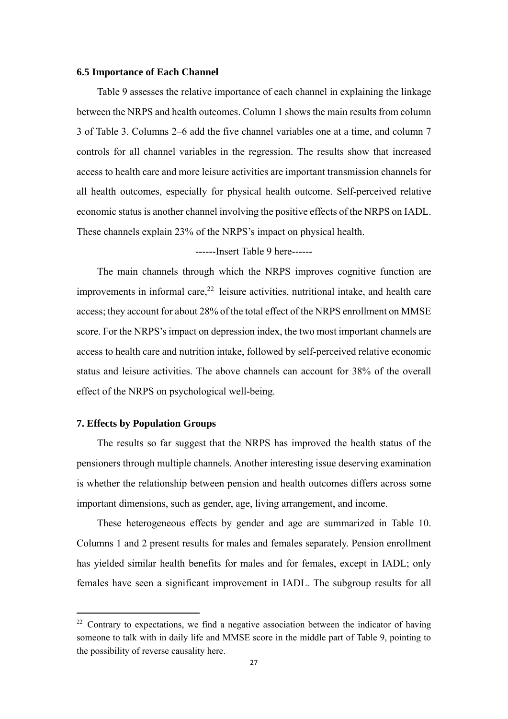#### **6.5 Importance of Each Channel**

Table 9 assesses the relative importance of each channel in explaining the linkage between the NRPS and health outcomes. Column 1 shows the main results from column 3 of Table 3. Columns 2–6 add the five channel variables one at a time, and column 7 controls for all channel variables in the regression. The results show that increased access to health care and more leisure activities are important transmission channels for all health outcomes, especially for physical health outcome. Self-perceived relative economic status is another channel involving the positive effects of the NRPS on IADL. These channels explain 23% of the NRPS's impact on physical health.

------Insert Table 9 here------

The main channels through which the NRPS improves cognitive function are improvements in informal care, $2^2$  leisure activities, nutritional intake, and health care access; they account for about 28% of the total effect of the NRPS enrollment on MMSE score. For the NRPS's impact on depression index, the two most important channels are access to health care and nutrition intake, followed by self-perceived relative economic status and leisure activities. The above channels can account for 38% of the overall effect of the NRPS on psychological well-being.

#### **7. Effects by Population Groups**

The results so far suggest that the NRPS has improved the health status of the pensioners through multiple channels. Another interesting issue deserving examination is whether the relationship between pension and health outcomes differs across some important dimensions, such as gender, age, living arrangement, and income.

These heterogeneous effects by gender and age are summarized in Table 10. Columns 1 and 2 present results for males and females separately. Pension enrollment has yielded similar health benefits for males and for females, except in IADL; only females have seen a significant improvement in IADL. The subgroup results for all

 $22$  Contrary to expectations, we find a negative association between the indicator of having someone to talk with in daily life and MMSE score in the middle part of Table 9, pointing to the possibility of reverse causality here.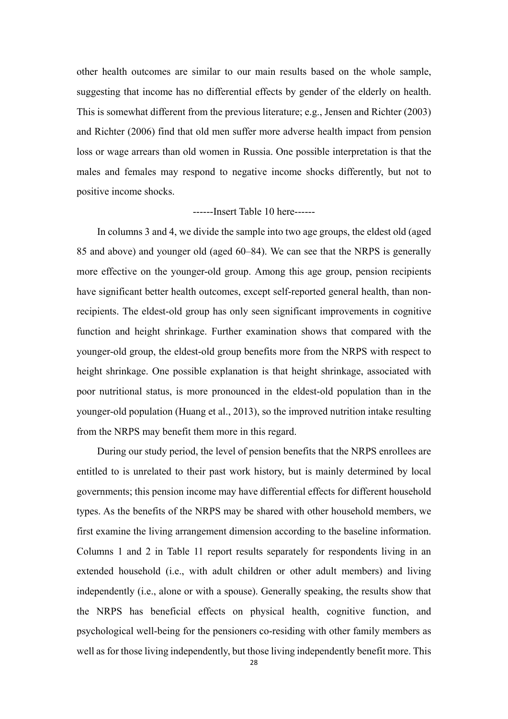other health outcomes are similar to our main results based on the whole sample, suggesting that income has no differential effects by gender of the elderly on health. This is somewhat different from the previous literature; e.g., Jensen and Richter (2003) and Richter (2006) find that old men suffer more adverse health impact from pension loss or wage arrears than old women in Russia. One possible interpretation is that the males and females may respond to negative income shocks differently, but not to positive income shocks.

#### ------Insert Table 10 here------

In columns 3 and 4, we divide the sample into two age groups, the eldest old (aged 85 and above) and younger old (aged 60–84). We can see that the NRPS is generally more effective on the younger-old group. Among this age group, pension recipients have significant better health outcomes, except self-reported general health, than nonrecipients. The eldest-old group has only seen significant improvements in cognitive function and height shrinkage. Further examination shows that compared with the younger-old group, the eldest-old group benefits more from the NRPS with respect to height shrinkage. One possible explanation is that height shrinkage, associated with poor nutritional status, is more pronounced in the eldest-old population than in the younger-old population (Huang et al., 2013), so the improved nutrition intake resulting from the NRPS may benefit them more in this regard.

During our study period, the level of pension benefits that the NRPS enrollees are entitled to is unrelated to their past work history, but is mainly determined by local governments; this pension income may have differential effects for different household types. As the benefits of the NRPS may be shared with other household members, we first examine the living arrangement dimension according to the baseline information. Columns 1 and 2 in Table 11 report results separately for respondents living in an extended household (i.e., with adult children or other adult members) and living independently (i.e., alone or with a spouse). Generally speaking, the results show that the NRPS has beneficial effects on physical health, cognitive function, and psychological well-being for the pensioners co-residing with other family members as well as for those living independently, but those living independently benefit more. This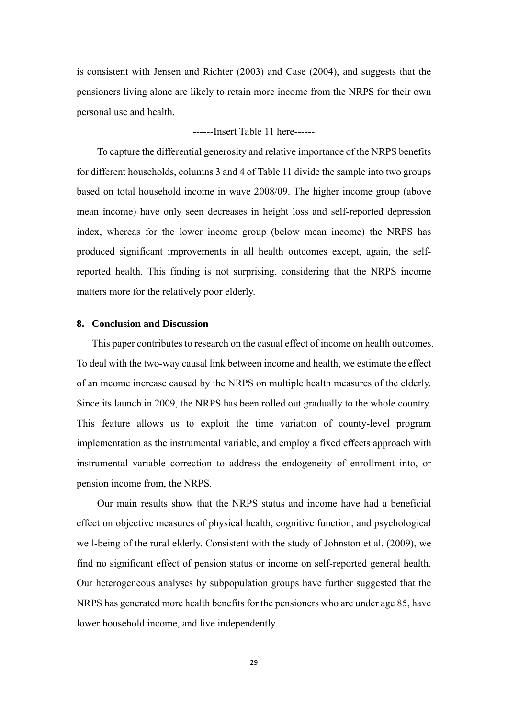is consistent with Jensen and Richter (2003) and Case (2004), and suggests that the pensioners living alone are likely to retain more income from the NRPS for their own personal use and health.

------Insert Table 11 here------

To capture the differential generosity and relative importance of the NRPS benefits for different households, columns 3 and 4 of Table 11 divide the sample into two groups based on total household income in wave 2008/09. The higher income group (above mean income) have only seen decreases in height loss and self-reported depression index, whereas for the lower income group (below mean income) the NRPS has produced significant improvements in all health outcomes except, again, the selfreported health. This finding is not surprising, considering that the NRPS income matters more for the relatively poor elderly.

#### **8. Conclusion and Discussion**

This paper contributes to research on the casual effect of income on health outcomes. To deal with the two-way causal link between income and health, we estimate the effect of an income increase caused by the NRPS on multiple health measures of the elderly. Since its launch in 2009, the NRPS has been rolled out gradually to the whole country. This feature allows us to exploit the time variation of county-level program implementation as the instrumental variable, and employ a fixed effects approach with instrumental variable correction to address the endogeneity of enrollment into, or pension income from, the NRPS.

Our main results show that the NRPS status and income have had a beneficial effect on objective measures of physical health, cognitive function, and psychological well-being of the rural elderly. Consistent with the study of Johnston et al. (2009), we find no significant effect of pension status or income on self-reported general health. Our heterogeneous analyses by subpopulation groups have further suggested that the NRPS has generated more health benefits for the pensioners who are under age 85, have lower household income, and live independently.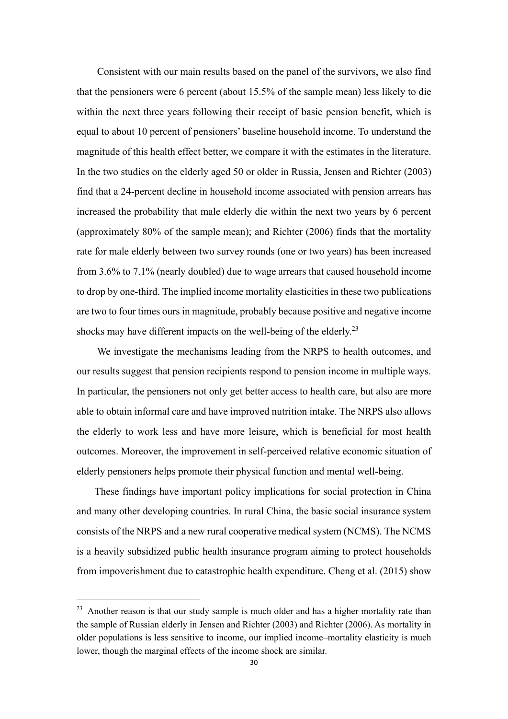Consistent with our main results based on the panel of the survivors, we also find that the pensioners were 6 percent (about 15.5% of the sample mean) less likely to die within the next three years following their receipt of basic pension benefit, which is equal to about 10 percent of pensioners' baseline household income. To understand the magnitude of this health effect better, we compare it with the estimates in the literature. In the two studies on the elderly aged 50 or older in Russia, Jensen and Richter (2003) find that a 24-percent decline in household income associated with pension arrears has increased the probability that male elderly die within the next two years by 6 percent (approximately 80% of the sample mean); and Richter (2006) finds that the mortality rate for male elderly between two survey rounds (one or two years) has been increased from 3.6% to 7.1% (nearly doubled) due to wage arrears that caused household income to drop by one-third. The implied income mortality elasticities in these two publications are two to four times ours in magnitude, probably because positive and negative income shocks may have different impacts on the well-being of the elderly.<sup>23</sup>

We investigate the mechanisms leading from the NRPS to health outcomes, and our results suggest that pension recipients respond to pension income in multiple ways. In particular, the pensioners not only get better access to health care, but also are more able to obtain informal care and have improved nutrition intake. The NRPS also allows the elderly to work less and have more leisure, which is beneficial for most health outcomes. Moreover, the improvement in self-perceived relative economic situation of elderly pensioners helps promote their physical function and mental well-being.

These findings have important policy implications for social protection in China and many other developing countries. In rural China, the basic social insurance system consists of the NRPS and a new rural cooperative medical system (NCMS). The NCMS is a heavily subsidized public health insurance program aiming to protect households from impoverishment due to catastrophic health expenditure. Cheng et al. (2015) show

<sup>&</sup>lt;sup>23</sup> Another reason is that our study sample is much older and has a higher mortality rate than the sample of Russian elderly in Jensen and Richter (2003) and Richter (2006). As mortality in older populations is less sensitive to income, our implied income–mortality elasticity is much lower, though the marginal effects of the income shock are similar.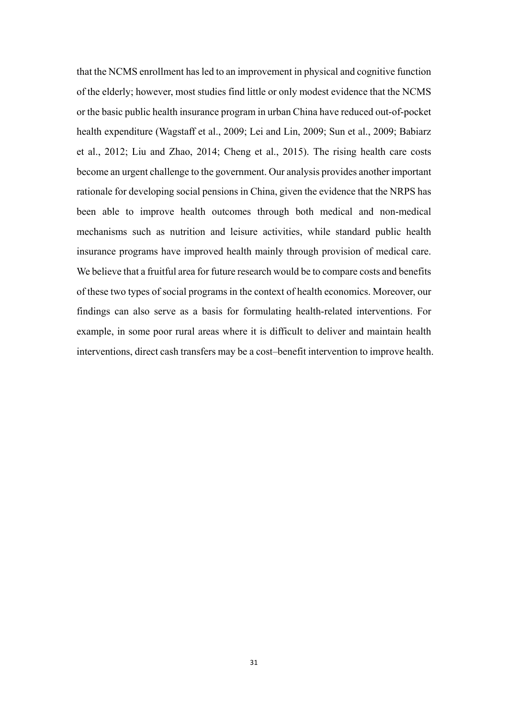that the NCMS enrollment has led to an improvement in physical and cognitive function of the elderly; however, most studies find little or only modest evidence that the NCMS or the basic public health insurance program in urban China have reduced out-of-pocket health expenditure (Wagstaff et al., 2009; Lei and Lin, 2009; Sun et al., 2009; Babiarz et al., 2012; Liu and Zhao, 2014; Cheng et al., 2015). The rising health care costs become an urgent challenge to the government. Our analysis provides another important rationale for developing social pensions in China, given the evidence that the NRPS has been able to improve health outcomes through both medical and non-medical mechanisms such as nutrition and leisure activities, while standard public health insurance programs have improved health mainly through provision of medical care. We believe that a fruitful area for future research would be to compare costs and benefits of these two types of social programs in the context of health economics. Moreover, our findings can also serve as a basis for formulating health-related interventions. For example, in some poor rural areas where it is difficult to deliver and maintain health interventions, direct cash transfers may be a cost–benefit intervention to improve health.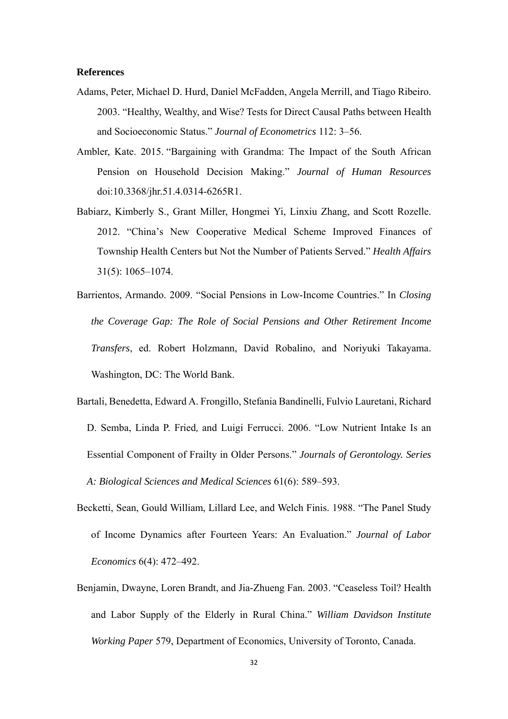#### **References**

- Adams, Peter, Michael D. Hurd, Daniel McFadden, Angela Merrill, and Tiago Ribeiro. 2003. "Healthy, Wealthy, and Wise? Tests for Direct Causal Paths between Health and Socioeconomic Status." *Journal of Econometrics* 112: 3–56.
- Ambler, Kate. 2015. "Bargaining with Grandma: The Impact of the South African Pension on Household Decision Making." *Journal of Human Resources* doi:10.3368/jhr.51.4.0314-6265R1.
- Babiarz, Kimberly S., Grant Miller, Hongmei Yi, Linxiu Zhang, and Scott Rozelle. 2012. "China's New Cooperative Medical Scheme Improved Finances of Township Health Centers but Not the Number of Patients Served." *Health Affairs* 31(5): 1065–1074.
- Barrientos, Armando. 2009. "Social Pensions in Low-Income Countries." In *Closing the Coverage Gap: The Role of Social Pensions and Other Retirement Income Transfers*, ed. Robert Holzmann, David Robalino, and Noriyuki Takayama. Washington, DC: The World Bank.
- Bartali, Benedetta, Edward A. Frongillo, Stefania Bandinelli, Fulvio Lauretani, Richard D. Semba, Linda P. Fried, and Luigi Ferrucci. 2006. "Low Nutrient Intake Is an Essential Component of Frailty in Older Persons." *Journals of Gerontology. Series A: Biological Sciences and Medical Sciences* 61(6): 589–593.
- Becketti, Sean, Gould William, Lillard Lee, and Welch Finis. 1988. "The Panel Study of Income Dynamics after Fourteen Years: An Evaluation." *Journal of Labor Economics* 6(4): 472–492.
- Benjamin, Dwayne, Loren Brandt, and Jia-Zhueng Fan. 2003. "Ceaseless Toil? Health and Labor Supply of the Elderly in Rural China." *William Davidson Institute Working Paper* 579, Department of Economics, University of Toronto, Canada.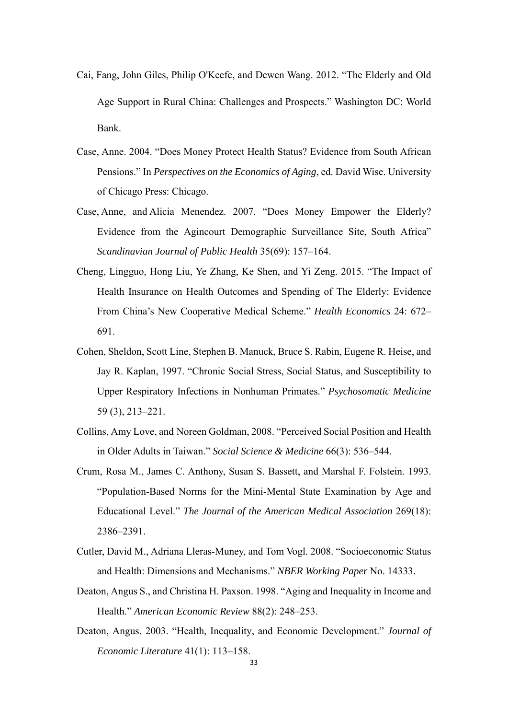- Cai, Fang, John Giles, Philip O'Keefe, and Dewen Wang. 2012. "The Elderly and Old Age Support in Rural China: Challenges and Prospects." Washington DC: World Bank.
- Case, Anne. 2004. "Does Money Protect Health Status? Evidence from South African Pensions." In *Perspectives on the Economics of Aging*, ed. David Wise. University of Chicago Press: Chicago.
- Case, Anne, and Alicia Menendez. 2007. "Does Money Empower the Elderly? Evidence from the Agincourt Demographic Surveillance Site, South Africa" *Scandinavian Journal of Public Health* 35(69): 157–164.
- Cheng, Lingguo, Hong Liu, Ye Zhang, Ke Shen, and Yi Zeng. 2015. "The Impact of Health Insurance on Health Outcomes and Spending of The Elderly: Evidence From China's New Cooperative Medical Scheme." *Health Economics* 24: 672– 691.
- Cohen, Sheldon, Scott Line, Stephen B. Manuck, Bruce S. Rabin, Eugene R. Heise, and Jay R. Kaplan, 1997. "Chronic Social Stress, Social Status, and Susceptibility to Upper Respiratory Infections in Nonhuman Primates." *Psychosomatic Medicine* 59 (3), 213–221.
- Collins, Amy Love, and Noreen Goldman, 2008. "Perceived Social Position and Health in Older Adults in Taiwan." *Social Science & Medicine* 66(3): 536–544.
- Crum, Rosa M., James C. Anthony, Susan S. Bassett, and Marshal F. Folstein. 1993. "Population-Based Norms for the Mini-Mental State Examination by Age and Educational Level." *The Journal of the American Medical Association* 269(18): 2386–2391.
- Cutler, David M., Adriana Lleras-Muney, and Tom Vogl. 2008. "Socioeconomic Status and Health: Dimensions and Mechanisms." *NBER Working Paper* No. 14333.
- Deaton, Angus S., and Christina H. Paxson. 1998. "Aging and Inequality in Income and Health." *American Economic Review* 88(2): 248–253.
- Deaton, Angus. 2003. "Health, Inequality, and Economic Development." *Journal of Economic Literature* 41(1): 113–158.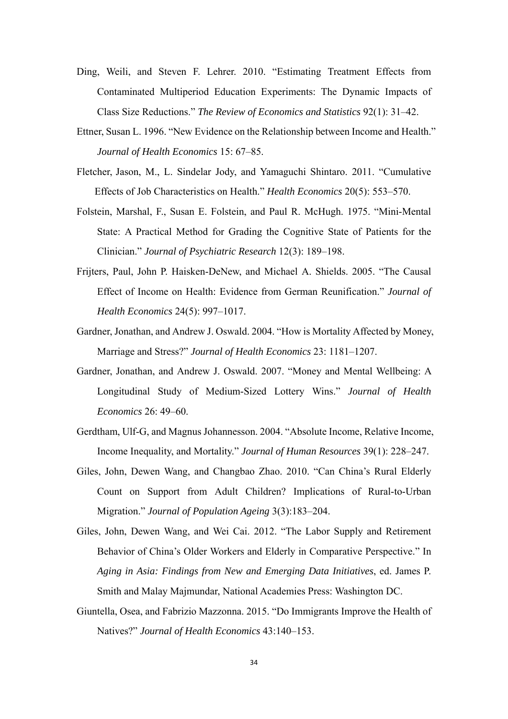- Ding, Weili, and Steven F. Lehrer. 2010. "Estimating Treatment Effects from Contaminated Multiperiod Education Experiments: The Dynamic Impacts of Class Size Reductions." *The Review of Economics and Statistics* 92(1): 31–42.
- Ettner, Susan L. 1996. "New Evidence on the Relationship between Income and Health." *Journal of Health Economics* 15: 67–85.
- Fletcher, Jason, M., L. Sindelar Jody, and Yamaguchi Shintaro. 2011. "Cumulative Effects of Job Characteristics on Health." *Health Economics* 20(5): 553–570.
- Folstein, Marshal, F., Susan E. Folstein, and Paul R. McHugh. 1975. "Mini-Mental State: A Practical Method for Grading the Cognitive State of Patients for the Clinician." *Journal of Psychiatric Research* 12(3): 189–198.
- Frijters, Paul, John P. Haisken-DeNew, and Michael A. Shields. 2005. "The Causal Effect of Income on Health: Evidence from German Reunification." *Journal of Health Economics* 24(5): 997–1017.
- Gardner, Jonathan, and Andrew J. Oswald. 2004. "How is Mortality Affected by Money, Marriage and Stress?" *Journal of Health Economics* 23: 1181–1207.
- Gardner, Jonathan, and Andrew J. Oswald. 2007. "Money and Mental Wellbeing: A Longitudinal Study of Medium-Sized Lottery Wins." *Journal of Health Economics* 26: 49–60.
- Gerdtham, Ulf-G, and Magnus Johannesson. 2004. "Absolute Income, Relative Income, Income Inequality, and Mortality." *Journal of Human Resources* 39(1): 228–247.
- Giles, John, Dewen Wang, and Changbao Zhao. 2010. "Can China's Rural Elderly Count on Support from Adult Children? Implications of Rural-to-Urban Migration." *Journal of Population Ageing* 3(3):183–204.
- Giles, John, Dewen Wang, and Wei Cai. 2012. "The Labor Supply and Retirement Behavior of China's Older Workers and Elderly in Comparative Perspective." In *Aging in Asia: Findings from New and Emerging Data Initiatives*, ed. James P. Smith and Malay Majmundar, National Academies Press: Washington DC.
- Giuntella, Osea, and Fabrizio Mazzonna. 2015. "Do Immigrants Improve the Health of Natives?" *Journal of Health Economics* 43:140–153.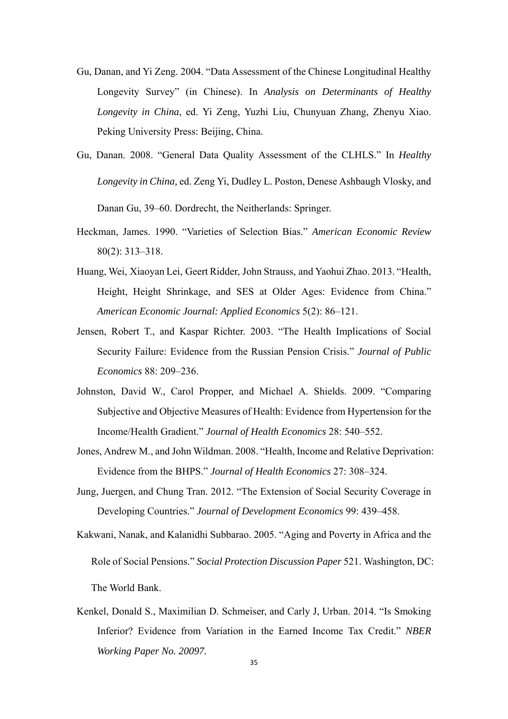- Gu, Danan, and Yi Zeng. 2004. "Data Assessment of the Chinese Longitudinal Healthy Longevity Survey" (in Chinese). In *Analysis on Determinants of Healthy Longevity in China*, ed. Yi Zeng, Yuzhi Liu, Chunyuan Zhang, Zhenyu Xiao. Peking University Press: Beijing, China.
- Gu, Danan. 2008. "General Data Quality Assessment of the CLHLS." In *Healthy Longevity in China,* ed. Zeng Yi, Dudley L. Poston, Denese Ashbaugh Vlosky, and Danan Gu, 39–60. Dordrecht, the Neitherlands: Springer.
- Heckman, James. 1990. "Varieties of Selection Bias." *American Economic Review* 80(2): 313–318.
- Huang, Wei, Xiaoyan Lei, Geert Ridder, John Strauss, and Yaohui Zhao. 2013. "Health, Height, Height Shrinkage, and SES at Older Ages: Evidence from China." *American Economic Journal: Applied Economics* 5(2): 86–121.
- Jensen, Robert T., and Kaspar Richter. 2003. "The Health Implications of Social Security Failure: Evidence from the Russian Pension Crisis." *Journal of Public Economics* 88: 209–236.
- Johnston, David W., Carol Propper, and Michael A. Shields. 2009. "Comparing Subjective and Objective Measures of Health: Evidence from Hypertension for the Income/Health Gradient." *Journal of Health Economics* 28: 540–552.
- Jones, Andrew M., and John Wildman. 2008. "Health, Income and Relative Deprivation: Evidence from the BHPS." *Journal of Health Economics* 27: 308–324.
- Jung, Juergen, and Chung Tran. 2012. "The Extension of Social Security Coverage in Developing Countries." *Journal of Development Economics* 99: 439–458.
- Kakwani, Nanak, and Kalanidhi Subbarao. 2005. "Aging and Poverty in Africa and the Role of Social Pensions." *Social Protection Discussion Paper* 521. Washington, DC: The World Bank.
- Kenkel, Donald S., Maximilian D. Schmeiser, and Carly J, Urban. 2014. "Is Smoking Inferior? Evidence from Variation in the Earned Income Tax Credit." *NBER Working Paper No. 20097.*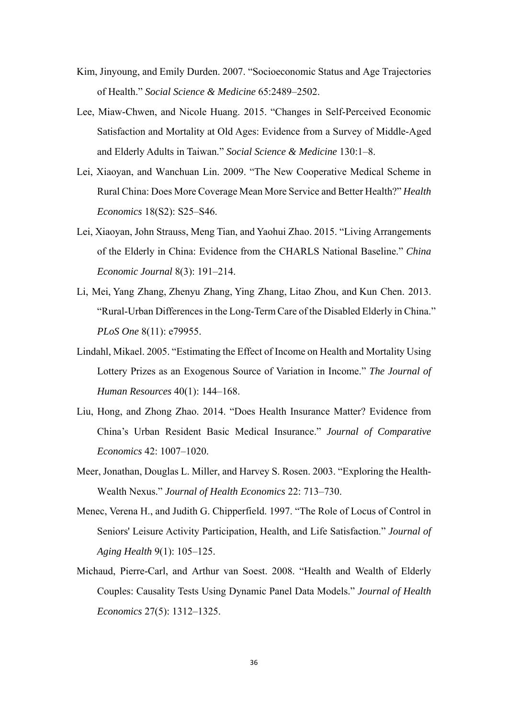- Kim, Jinyoung, and Emily Durden. 2007. "Socioeconomic Status and Age Trajectories of Health." *Social Science & Medicine* 65:2489–2502.
- Lee, Miaw-Chwen, and Nicole Huang. 2015. "Changes in Self-Perceived Economic Satisfaction and Mortality at Old Ages: Evidence from a Survey of Middle-Aged and Elderly Adults in Taiwan." *Social Science & Medicine* 130:1–8.
- Lei, Xiaoyan, and Wanchuan Lin. 2009. "The New Cooperative Medical Scheme in Rural China: Does More Coverage Mean More Service and Better Health?" *Health Economics* 18(S2): S25–S46.
- Lei, Xiaoyan, John Strauss, Meng Tian, and Yaohui Zhao. 2015. "Living Arrangements of the Elderly in China: Evidence from the CHARLS National Baseline." *China Economic Journal* 8(3): 191–214.
- Li, Mei, Yang Zhang, Zhenyu Zhang, Ying Zhang, Litao Zhou, and Kun Chen. 2013. "Rural-Urban Differences in the Long-Term Care of the Disabled Elderly in China." *PLoS One* 8(11): e79955.
- Lindahl, Mikael. 2005. "Estimating the Effect of Income on Health and Mortality Using Lottery Prizes as an Exogenous Source of Variation in Income." *The Journal of Human Resources* 40(1): 144–168.
- Liu, Hong, and Zhong Zhao. 2014. "Does Health Insurance Matter? Evidence from China's Urban Resident Basic Medical Insurance." *Journal of Comparative Economics* 42: 1007–1020.
- Meer, Jonathan, Douglas L. Miller, and Harvey S. Rosen. 2003. "Exploring the Health-Wealth Nexus." *Journal of Health Economics* 22: 713–730.
- Menec, Verena H., and Judith G. Chipperfield. 1997. "The Role of Locus of Control in Seniors' Leisure Activity Participation, Health, and Life Satisfaction." *Journal of Aging Health* 9(1): 105–125.
- Michaud, Pierre-Carl, and Arthur van Soest. 2008. "Health and Wealth of Elderly Couples: Causality Tests Using Dynamic Panel Data Models." *Journal of Health Economics* 27(5): 1312–1325.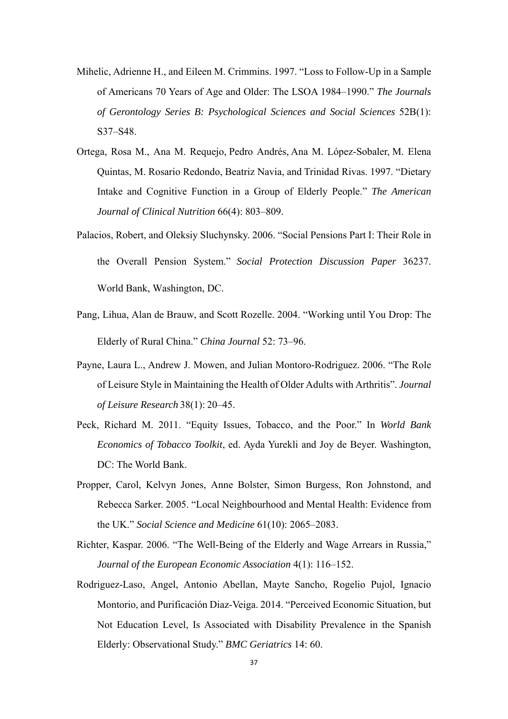- Mihelic, Adrienne H., and Eileen M. Crimmins. 1997. "Loss to Follow-Up in a Sample of Americans 70 Years of Age and Older: The LSOA 1984–1990." *The Journals of Gerontology Series B: Psychological Sciences and Social Sciences* 52B(1): S37–S48.
- Ortega, Rosa M., Ana M. Requejo, Pedro Andrés, Ana M. López-Sobaler, M. Elena Quintas, M. Rosario Redondo, Beatriz Navia, and Trinidad Rivas. 1997. "Dietary Intake and Cognitive Function in a Group of Elderly People." *The American Journal of Clinical Nutrition* 66(4): 803–809.
- Palacios, Robert, and Oleksiy Sluchynsky. 2006. "Social Pensions Part I: Their Role in the Overall Pension System." *Social Protection Discussion Paper* 36237. World Bank, Washington, DC.
- Pang, Lihua, Alan de Brauw, and Scott Rozelle. 2004. "Working until You Drop: The Elderly of Rural China." *China Journal* 52: 73–96.
- Payne, Laura L., Andrew J. Mowen, and Julian Montoro-Rodriguez. 2006. "The Role of Leisure Style in Maintaining the Health of Older Adults with Arthritis". *Journal of Leisure Research* 38(1): 20–45.
- Peck, Richard M. 2011. "Equity Issues, Tobacco, and the Poor." In *World Bank Economics of Tobacco Toolkit*, ed. Ayda Yurekli and Joy de Beyer. Washington, DC: The World Bank.
- Propper, Carol, Kelvyn Jones, Anne Bolster, Simon Burgess, Ron Johnstond, and Rebecca Sarker. 2005. "Local Neighbourhood and Mental Health: Evidence from the UK." *Social Science and Medicine* 61(10): 2065–2083.
- Richter, Kaspar. 2006. "The Well-Being of the Elderly and Wage Arrears in Russia," *Journal of the European Economic Association* 4(1): 116–152.
- Rodriguez-Laso, Angel, Antonio Abellan, Mayte Sancho, Rogelio Pujol, Ignacio Montorio, and Purificación Diaz-Veiga. 2014. "Perceived Economic Situation, but Not Education Level, Is Associated with Disability Prevalence in the Spanish Elderly: Observational Study." *BMC Geriatrics* 14: 60.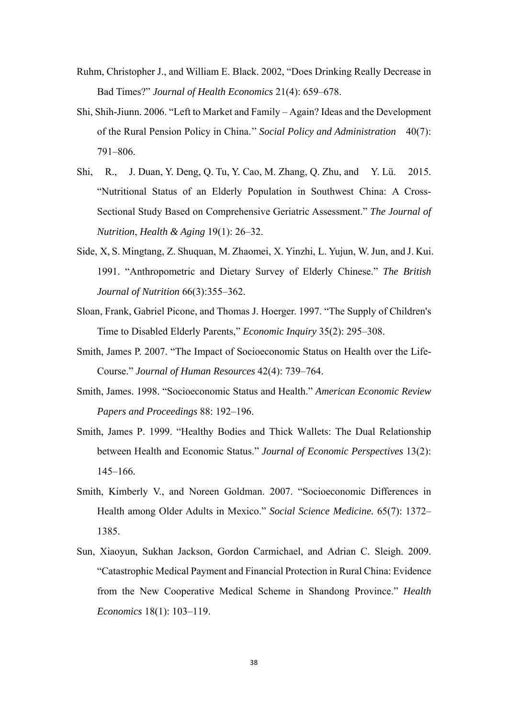- Ruhm, Christopher J., and William E. Black. 2002, "Does Drinking Really Decrease in Bad Times?" *Journal of Health Economics* 21(4): 659–678.
- Shi, Shih-Jiunn. 2006. "Left to Market and Family Again? Ideas and the Development of the Rural Pension Policy in China.'' *Social Policy and Administration* 40(7): 791–806.
- Shi, R., J. Duan, Y. Deng, Q. Tu, Y. Cao, M. Zhang, Q. Zhu, and Y. Lü. 2015. "Nutritional Status of an Elderly Population in Southwest China: A Cross-Sectional Study Based on Comprehensive Geriatric Assessment." *The Journal of Nutrition*, *Health & Aging* 19(1): 26–32.
- Side, X, S. Mingtang, Z. Shuquan, M. Zhaomei, X. Yinzhi, L. Yujun, W. Jun, and J. Kui. 1991. "Anthropometric and Dietary Survey of Elderly Chinese." *The British Journal of Nutrition* 66(3):355–362.
- Sloan, Frank, Gabriel Picone, and Thomas J. Hoerger. 1997. "The Supply of Children's Time to Disabled Elderly Parents," *Economic Inquiry* 35(2): 295–308.
- Smith, James P. 2007. "The Impact of Socioeconomic Status on Health over the Life-Course." *Journal of Human Resources* 42(4): 739–764.
- Smith, James. 1998. "Socioeconomic Status and Health." *American Economic Review Papers and Proceedings* 88: 192–196.
- Smith, James P. 1999. "Healthy Bodies and Thick Wallets: The Dual Relationship between Health and Economic Status." *Journal of Economic Perspectives* 13(2): 145–166.
- Smith, Kimberly V., and Noreen Goldman. 2007. "Socioeconomic Differences in Health among Older Adults in Mexico." *Social Science Medicine.* 65(7): 1372– 1385.
- Sun, Xiaoyun, Sukhan Jackson, Gordon Carmichael, and Adrian C. Sleigh. 2009. "Catastrophic Medical Payment and Financial Protection in Rural China: Evidence from the New Cooperative Medical Scheme in Shandong Province." *Health Economics* 18(1): 103–119.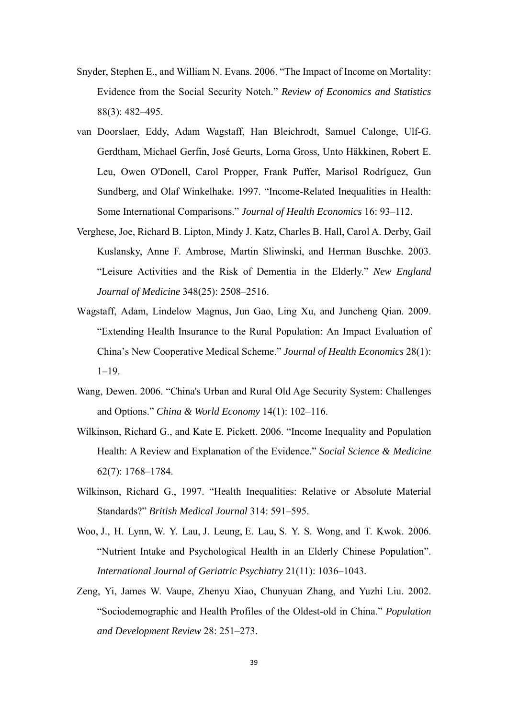- Snyder, Stephen E., and William N. Evans. 2006. "The Impact of Income on Mortality: Evidence from the Social Security Notch." *Review of Economics and Statistics* 88(3): 482–495.
- van Doorslaer, Eddy, Adam Wagstaff, Han Bleichrodt, Samuel Calonge, Ulf-G. Gerdtham, Michael Gerfin, José Geurts, Lorna Gross, Unto Häkkinen, Robert E. Leu, Owen O'Donell, Carol Propper, Frank Puffer, Marisol Rodríguez, Gun Sundberg, and Olaf Winkelhake. 1997. "Income-Related Inequalities in Health: Some International Comparisons." *Journal of Health Economics* 16: 93–112.
- Verghese, Joe, Richard B. Lipton, Mindy J. Katz, Charles B. Hall, Carol A. Derby, Gail Kuslansky, Anne F. Ambrose, Martin Sliwinski, and Herman Buschke. 2003. "Leisure Activities and the Risk of Dementia in the Elderly." *New England Journal of Medicine* 348(25): 2508–2516.
- Wagstaff, Adam, Lindelow Magnus, Jun Gao, Ling Xu, and Juncheng Qian. 2009. "Extending Health Insurance to the Rural Population: An Impact Evaluation of China's New Cooperative Medical Scheme." *Journal of Health Economics* 28(1): 1–19.
- Wang, Dewen. 2006. "China's Urban and Rural Old Age Security System: Challenges and Options." *China & World Economy* 14(1): 102–116.
- Wilkinson, Richard G., and Kate E. Pickett. 2006. "Income Inequality and Population Health: A Review and Explanation of the Evidence." *Social Science & Medicine* 62(7): 1768–1784.
- Wilkinson, Richard G., 1997. "Health Inequalities: Relative or Absolute Material Standards?" *British Medical Journal* 314: 591–595.
- Woo, J., H. Lynn, W. Y. Lau, J. Leung, E. Lau, S. Y. S. Wong, and T. Kwok. 2006. "Nutrient Intake and Psychological Health in an Elderly Chinese Population". *International Journal of Geriatric Psychiatry* 21(11): 1036–1043.
- Zeng, Yi, James W. Vaupe, Zhenyu Xiao, Chunyuan Zhang, and Yuzhi Liu. 2002. "Sociodemographic and Health Profiles of the Oldest-old in China." *Population and Development Review* 28: 251–273.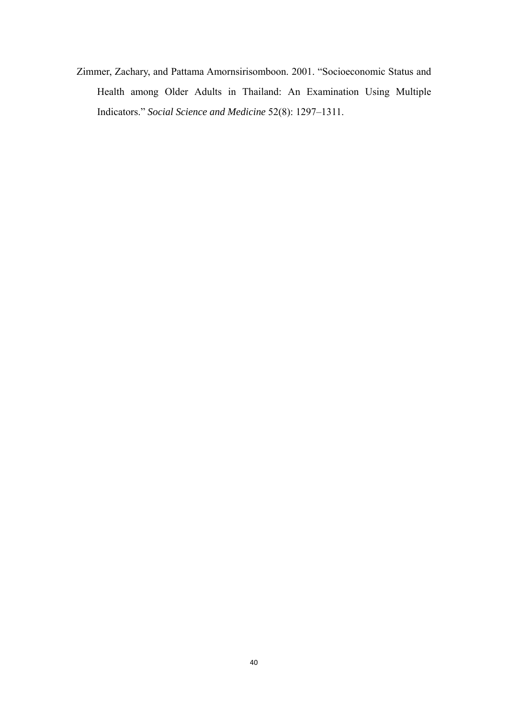Zimmer, Zachary, and Pattama Amornsirisomboon. 2001. "Socioeconomic Status and Health among Older Adults in Thailand: An Examination Using Multiple Indicators." *Social Science and Medicine* 52(8): 1297–1311.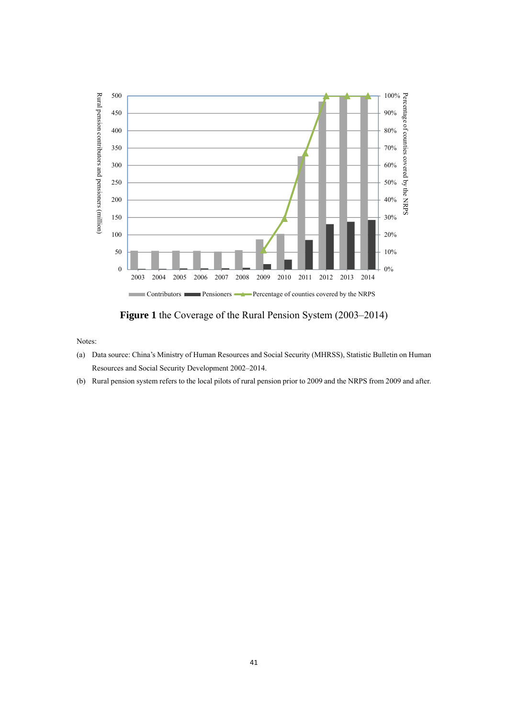

**Figure 1** the Coverage of the Rural Pension System (2003–2014)

- (a) Data source: China's Ministry of Human Resources and Social Security (MHRSS), Statistic Bulletin on Human Resources and Social Security Development 2002–2014.
- (b) Rural pension system refers to the local pilots of rural pension prior to 2009 and the NRPS from 2009 and after.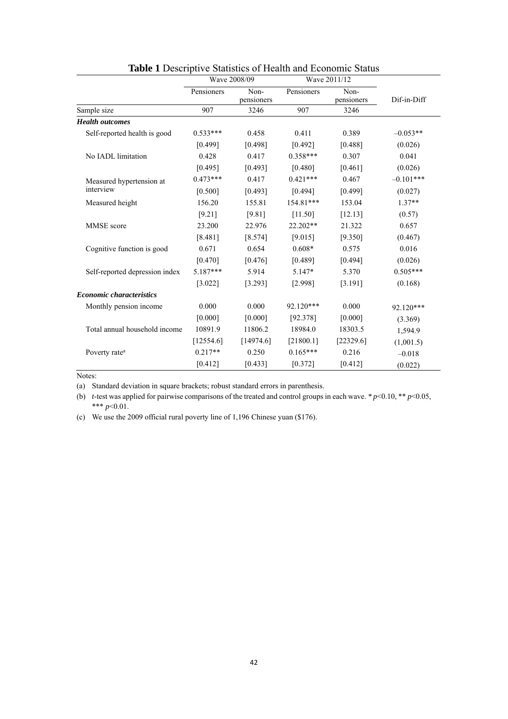|                                 | Wave 2008/09 |                    |            | Wave 2011/12       |             |
|---------------------------------|--------------|--------------------|------------|--------------------|-------------|
|                                 | Pensioners   | Non-<br>pensioners | Pensioners | Non-<br>pensioners | Dif-in-Diff |
| Sample size                     | 907          | 3246               | 907        | 3246               |             |
| <b>Health outcomes</b>          |              |                    |            |                    |             |
| Self-reported health is good    | $0.533***$   | 0.458              | 0.411      | 0.389              | $-0.053**$  |
|                                 | [0.499]      | [0.498]            | [0.492]    | [0.488]            | (0.026)     |
| No IADL limitation              | 0.428        | 0.417              | $0.358***$ | 0.307              | 0.041       |
|                                 | [0.495]      | [0.493]            | [0.480]    | [0.461]            | (0.026)     |
| Measured hypertension at        | $0.473***$   | 0.417              | $0.421***$ | 0.467              | $-0.101***$ |
| interview                       | [0.500]      | [0.493]            | [0.494]    | [0.499]            | (0.027)     |
| Measured height                 | 156.20       | 155.81             | 154.81***  | 153.04             | $1.37**$    |
|                                 | [9.21]       | [9.81]             | [11.50]    | [12.13]            | (0.57)      |
| MMSE score                      | 23.200       | 22.976             | 22.202**   | 21.322             | 0.657       |
|                                 | [8.481]      | [8.574]            | [9.015]    | [9.350]            | (0.467)     |
| Cognitive function is good      | 0.671        | 0.654              | $0.608*$   | 0.575              | 0.016       |
|                                 | [0.470]      | [0.476]            | [0.489]    | [0.494]            | (0.026)     |
| Self-reported depression index  | $5.187***$   | 5.914              | 5.147*     | 5.370              | $0.505***$  |
|                                 | [3.022]      | [3.293]            | [2.998]    | [3.191]            | (0.168)     |
| <b>Economic characteristics</b> |              |                    |            |                    |             |
| Monthly pension income          | 0.000        | 0.000              | 92.120***  | 0.000              | 92.120***   |
|                                 | [0.000]      | [0.000]            | [92.378]   | [0.000]            | (3.369)     |
| Total annual household income   | 10891.9      | 11806.2            | 18984.0    | 18303.5            | 1,594.9     |
|                                 | [12554.6]    | [14974.6]          | [21800.1]  | [22329.6]          | (1,001.5)   |
| Poverty rate <sup>a</sup>       | $0.217**$    | 0.250              | $0.165***$ | 0.216              | $-0.018$    |
|                                 | [0.412]      | [0.433]            | [0.372]    | [0.412]            | (0.022)     |

### **Table 1** Descriptive Statistics of Health and Economic Status

Notes:

(a) Standard deviation in square brackets; robust standard errors in parenthesis.

(b) *t*-test was applied for pairwise comparisons of the treated and control groups in each wave. *\* p*<0.10, \*\* *p*<0.05, \*\*\* *p*<0.01.

(c) We use the 2009 official rural poverty line of 1,196 Chinese yuan (\$176).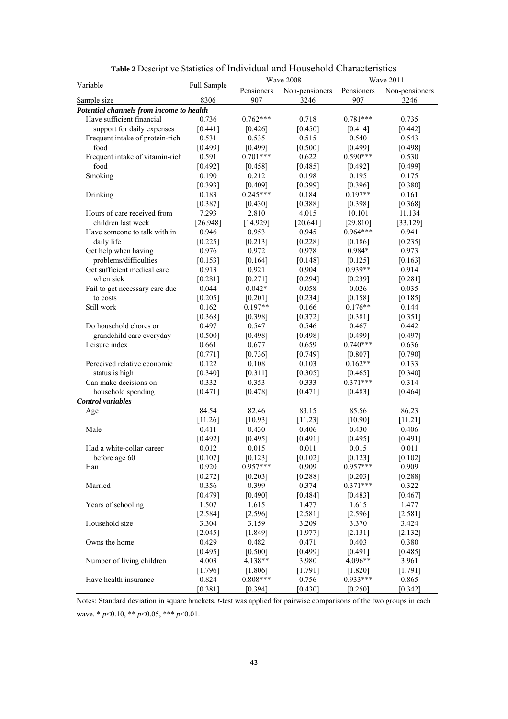| Variable                                 |             |            | Wave 2008      |            | <b>Wave 2011</b> |
|------------------------------------------|-------------|------------|----------------|------------|------------------|
|                                          | Full Sample | Pensioners | Non-pensioners | Pensioners | Non-pensioners   |
| Sample size                              | 8306        | 907        | 3246           | 907        | 3246             |
| Potential channels from income to health |             |            |                |            |                  |
| Have sufficient financial                | 0.736       | $0.762***$ | 0.718          | $0.781***$ | 0.735            |
| support for daily expenses               | [0.441]     | [0.426]    | [0.450]        | [0.414]    | [0.442]          |
| Frequent intake of protein-rich          | 0.531       | 0.535      | 0.515          | 0.540      | 0.543            |
| food                                     | [0.499]     | [0.499]    | [0.500]        | [0.499]    | [0.498]          |
| Frequent intake of vitamin-rich          | 0.591       | $0.701***$ | 0.622          | $0.590***$ | 0.530            |
| food                                     | [0.492]     | [0.458]    | [0.485]        | [0.492]    | [0.499]          |
| Smoking                                  | 0.190       | 0.212      | 0.198          | 0.195      | 0.175            |
|                                          | [0.393]     | [0.409]    | [0.399]        | [0.396]    | [0.380]          |
| Drinking                                 | 0.183       | $0.245***$ | 0.184          | $0.197**$  | 0.161            |
|                                          | [0.387]     | [0.430]    | [0.388]        | [0.398]    | [0.368]          |
| Hours of care received from              | 7.293       | 2.810      | 4.015          | 10.101     | 11.134           |
| children last week                       | [26.948]    | [14.929]   | [20.641]       | [29.810]   | [33.129]         |
| Have someone to talk with in             | 0.946       | 0.953      | 0.945          | $0.964***$ | 0.941            |
| daily life                               | [0.225]     | [0.213]    | [0.228]        | [0.186]    | [0.235]          |
| Get help when having                     | 0.976       | 0.972      | 0.978          | 0.984*     | 0.973            |
| problems/difficulties                    | [0.153]     | [0.164]    | [0.148]        | [0.125]    | [0.163]          |
| Get sufficient medical care              | 0.913       | 0.921      | 0.904          | 0.939**    | 0.914            |
| when sick                                | [0.281]     | [0.271]    | [0.294]        | [0.239]    | [0.281]          |
| Fail to get necessary care due           | 0.044       | $0.042*$   | 0.058          | 0.026      | 0.035            |
| to costs                                 | [0.205]     | [0.201]    | [0.234]        | [0.158]    | [0.185]          |
| Still work                               | 0.162       | $0.197**$  | 0.166          | $0.176**$  | 0.144            |
|                                          | [0.368]     | [0.398]    | [0.372]        | [0.381]    | [0.351]          |
| Do household chores or                   | 0.497       | 0.547      | 0.546          | 0.467      | 0.442            |
| grandchild care everyday                 | [0.500]     | [0.498]    | [0.498]        | [0.499]    | [0.497]          |
| Leisure index                            | 0.661       | 0.677      | 0.659          | $0.740***$ | 0.636            |
|                                          | [0.771]     | [0.736]    | [0.749]        | [0.807]    | [0.790]          |
| Perceived relative economic              | 0.122       | 0.108      | 0.103          | $0.162**$  | 0.133            |
| status is high                           | [0.340]     | [0.311]    | [0.305]        | [0.465]    | [0.340]          |
| Can make decisions on                    | 0.332       | 0.353      | 0.333          | $0.371***$ | 0.314            |
| household spending                       | [0.471]     | [0.478]    | [0.471]        | [0.483]    | [0.464]          |
| <b>Control</b> variables                 |             |            |                |            |                  |
| Age                                      | 84.54       | 82.46      | 83.15          | 85.56      | 86.23            |
|                                          | [11.26]     | [10.93]    | [11.23]        | [10.90]    | [11.21]          |
| Male                                     | 0.411       | 0.430      | 0.406          | 0.430      | 0.406            |
|                                          | [0.492]     | [0.495]    | [0.491]        | [0.495]    | [0.491]          |
| Had a white-collar career                | 0.012       | 0.015      | 0.011          | 0.015      | 0.011            |
| before age 60                            | [0.107]     | [0.123]    | [0.102]        | [0.123]    | [0.102]          |
| Han                                      | 0.920       | $0.957***$ | 0.909          | $0.957***$ | 0.909            |
|                                          | [0.272]     | [0.203]    | [0.288]        | [0.203]    | [0.288]          |
| Married                                  | 0.356       | 0.399      | 0.374          | $0.371***$ | 0.322            |
|                                          | [0.479]     | [0.490]    | [0.484]        | [0.483]    | [0.467]          |
| Years of schooling                       | 1.507       | 1.615      | 1.477          | 1.615      | 1.477            |
|                                          | [2.584]     | [2.596]    | [2.581]        | [2.596]    | [2.581]          |
| Household size                           | 3.304       | 3.159      | 3.209          | 3.370      | 3.424            |
|                                          | [2.045]     | [1.849]    | [1.977]        | $[2.131]$  | $[2.132]$        |
| Owns the home                            | 0.429       | 0.482      | 0.471          | 0.403      | 0.380            |
|                                          | [0.495]     | [0.500]    | [0.499]        | [0.491]    | [0.485]          |
| Number of living children                | 4.003       | 4.138**    | 3.980          | 4.096**    | 3.961            |
|                                          | [1.796]     | [1.806]    | [1.791]        | [1.820]    | [1.791]          |
| Have health insurance                    | 0.824       | $0.808***$ | 0.756          | $0.933***$ | 0.865            |
|                                          | [0.381]     | [0.394]    | [0.430]        | [0.250]    | [0.342]          |

**Table 2** Descriptive Statistics of Individual and Household Characteristics

Notes: Standard deviation in square brackets. *t*-test was applied for pairwise comparisons of the two groups in each wave. \* *p*<0.10, \*\* *p*<0.05, \*\*\* *p*<0.01.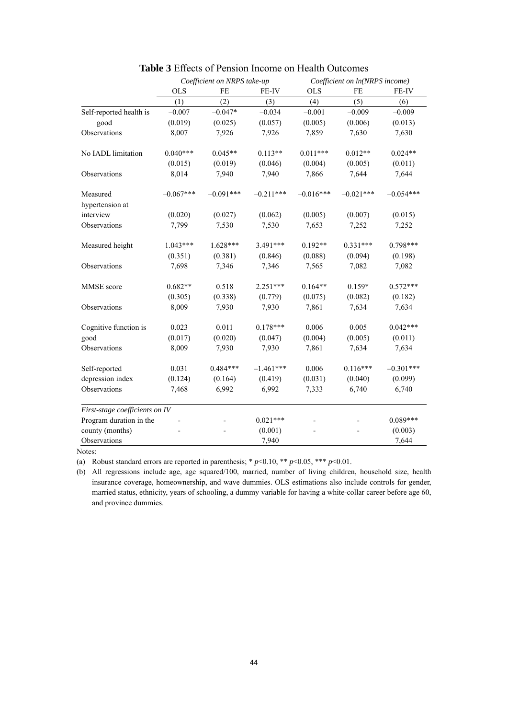|                                |             | Coefficient on NRPS take-up |             |             | Coefficient on ln(NRPS income) |             |
|--------------------------------|-------------|-----------------------------|-------------|-------------|--------------------------------|-------------|
|                                | <b>OLS</b>  | FE                          | FE-IV       | <b>OLS</b>  | FE                             | FE-IV       |
|                                | (1)         | (2)                         | (3)         | (4)         | (5)                            | (6)         |
| Self-reported health is        | $-0.007$    | $-0.047*$                   | $-0.034$    | $-0.001$    | $-0.009$                       | $-0.009$    |
| good                           | (0.019)     | (0.025)                     | (0.057)     | (0.005)     | (0.006)                        | (0.013)     |
| Observations                   | 8,007       | 7,926                       | 7,926       | 7,859       | 7,630                          | 7,630       |
| No IADL limitation             | $0.040***$  | $0.045**$                   | $0.113**$   | $0.011***$  | $0.012**$                      | $0.024**$   |
|                                | (0.015)     | (0.019)                     | (0.046)     | (0.004)     | (0.005)                        | (0.011)     |
| Observations                   | 8,014       | 7,940                       | 7,940       | 7,866       | 7,644                          | 7,644       |
| Measured                       | $-0.067***$ | $-0.091***$                 | $-0.211***$ | $-0.016***$ | $-0.021***$                    | $-0.054***$ |
| hypertension at                |             |                             |             |             |                                |             |
| interview                      | (0.020)     | (0.027)                     | (0.062)     | (0.005)     | (0.007)                        | (0.015)     |
| Observations                   | 7,799       | 7,530                       | 7,530       | 7,653       | 7,252                          | 7,252       |
| Measured height                | $1.043***$  | $1.628***$                  | $3.491***$  | $0.192**$   | $0.331***$                     | $0.798***$  |
|                                | (0.351)     | (0.381)                     | (0.846)     | (0.088)     | (0.094)                        | (0.198)     |
| Observations                   | 7,698       | 7,346                       | 7,346       | 7,565       | 7,082                          | 7,082       |
| MMSE score                     | $0.682**$   | 0.518                       | $2.251***$  | $0.164**$   | $0.159*$                       | $0.572***$  |
|                                | (0.305)     | (0.338)                     | (0.779)     | (0.075)     | (0.082)                        | (0.182)     |
| Observations                   | 8,009       | 7,930                       | 7,930       | 7,861       | 7,634                          | 7,634       |
| Cognitive function is          | 0.023       | 0.011                       | $0.178***$  | 0.006       | 0.005                          | $0.042***$  |
| good                           | (0.017)     | (0.020)                     | (0.047)     | (0.004)     | (0.005)                        | (0.011)     |
| Observations                   | 8,009       | 7,930                       | 7,930       | 7,861       | 7,634                          | 7,634       |
| Self-reported                  | 0.031       | $0.484***$                  | $-1.461***$ | 0.006       | $0.116***$                     | $-0.301***$ |
| depression index               | (0.124)     | (0.164)                     | (0.419)     | (0.031)     | (0.040)                        | (0.099)     |
| Observations                   | 7,468       | 6,992                       | 6,992       | 7,333       | 6,740                          | 6,740       |
| First-stage coefficients on IV |             |                             |             |             |                                |             |
| Program duration in the        |             |                             | $0.021***$  |             |                                | $0.089***$  |
| county (months)                |             |                             | (0.001)     |             |                                | (0.003)     |
| Observations                   |             |                             | 7,940       |             |                                | 7,644       |

| <b>Table 3</b> Effects of Pension Income on Health Outcomes |  |
|-------------------------------------------------------------|--|
|-------------------------------------------------------------|--|

(a) Robust standard errors are reported in parenthesis;  $* p<0.10$ ,  $* p<0.05$ ,  $* * p<0.01$ .

(b) All regressions include age, age squared/100, married, number of living children, household size, health insurance coverage, homeownership, and wave dummies. OLS estimations also include controls for gender, married status, ethnicity, years of schooling, a dummy variable for having a white-collar career before age 60, and province dummies.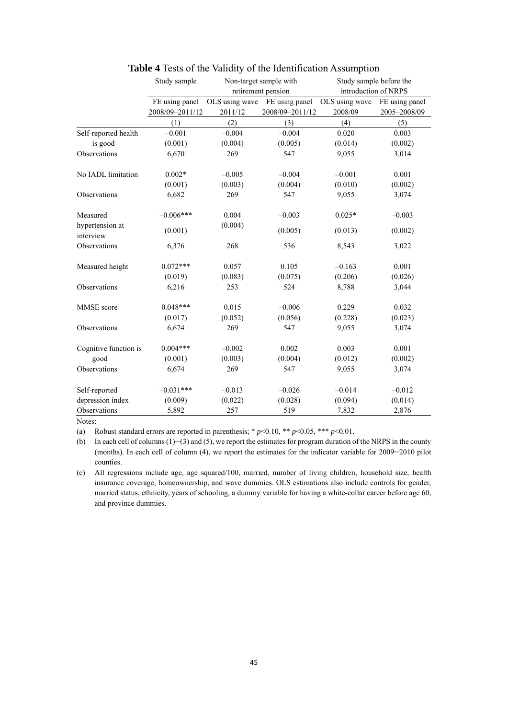|                              | Study sample    |                | Non-target sample with | Study sample before the |                |
|------------------------------|-----------------|----------------|------------------------|-------------------------|----------------|
|                              |                 |                | retirement pension     | introduction of NRPS    |                |
|                              | FE using panel  | OLS using wave | FE using panel         | OLS using wave          | FE using panel |
|                              | 2008/09-2011/12 | 2011/12        | 2008/09-2011/12        | 2008/09                 | 2005-2008/09   |
|                              | (1)             | (2)            | (3)                    | (4)                     | (5)            |
| Self-reported health         | $-0.001$        | $-0.004$       | $-0.004$               | 0.020                   | 0.003          |
| is good                      | (0.001)         | (0.004)        | (0.005)                | (0.014)                 | (0.002)        |
| Observations                 | 6,670           | 269            | 547                    | 9,055                   | 3,014          |
| No IADL limitation           | $0.002*$        | $-0.005$       | $-0.004$               | $-0.001$                | 0.001          |
|                              | (0.001)         | (0.003)        | (0.004)                | (0.010)                 | (0.002)        |
| Observations                 | 6,682           | 269            | 547                    | 9,055                   | 3,074          |
| Measured                     | $-0.006***$     | 0.004          | $-0.003$               | $0.025*$                | $-0.003$       |
| hypertension at<br>interview | (0.001)         | (0.004)        | (0.005)                | (0.013)                 | (0.002)        |
| Observations                 | 6,376           | 268            | 536                    | 8,543                   | 3,022          |
| Measured height              | $0.072***$      | 0.057          | 0.105                  | $-0.163$                | 0.001          |
|                              | (0.019)         | (0.083)        | (0.075)                | (0.206)                 | (0.026)        |
| Observations                 | 6,216           | 253            | 524                    | 8,788                   | 3,044          |
| MMSE score                   | $0.048***$      | 0.015          | $-0.006$               | 0.229                   | 0.032          |
|                              | (0.017)         | (0.052)        | (0.056)                | (0.228)                 | (0.023)        |
| Observations                 | 6,674           | 269            | 547                    | 9,055                   | 3,074          |
| Cognitive function is        | $0.004***$      | $-0.002$       | 0.002                  | 0.003                   | 0.001          |
| good                         | (0.001)         | (0.003)        | (0.004)                | (0.012)                 | (0.002)        |
| Observations                 | 6,674           | 269            | 547                    | 9,055                   | 3,074          |
| Self-reported                | $-0.031***$     | $-0.013$       | $-0.026$               | $-0.014$                | $-0.012$       |
| depression index             | (0.009)         | (0.022)        | (0.028)                | (0.094)                 | (0.014)        |
| Observations                 | 5,892           | 257            | 519                    | 7,832                   | 2,876          |

|  |  | <b>Table 4</b> Tests of the Validity of the Identification Assumption |
|--|--|-----------------------------------------------------------------------|
|--|--|-----------------------------------------------------------------------|

(a) Robust standard errors are reported in parenthesis;  $* p<0.10, ** p<0.05, *** p<0.01$ .

(b) In each cell of columns  $(1)$ –(3) and (5), we report the estimates for program duration of the NRPS in the county (months). In each cell of column (4), we report the estimates for the indicator variable for 2009–2010 pilot counties.

(c) All regressions include age, age squared/100, married, number of living children, household size, health insurance coverage, homeownership, and wave dummies. OLS estimations also include controls for gender, married status, ethnicity, years of schooling, a dummy variable for having a white-collar career before age 60, and province dummies.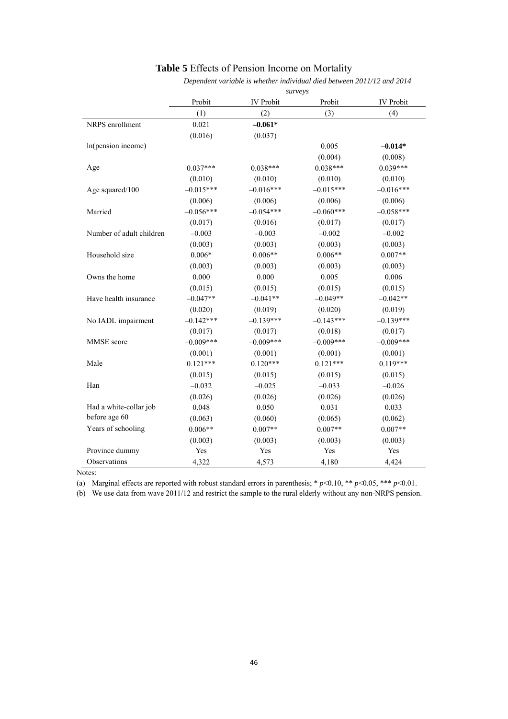|                          |             |                  | Dependent variable is whether individual died between 2011/12 and 2014 |             |
|--------------------------|-------------|------------------|------------------------------------------------------------------------|-------------|
|                          |             |                  | surveys                                                                |             |
|                          | Probit      | <b>IV</b> Probit | Probit                                                                 | IV Probit   |
|                          | (1)         | (2)              | (3)                                                                    | (4)         |
| NRPS enrollment          | 0.021       | $-0.061*$        |                                                                        |             |
|                          | (0.016)     | (0.037)          |                                                                        |             |
| In(pension income)       |             |                  | 0.005                                                                  | $-0.014*$   |
|                          |             |                  | (0.004)                                                                | (0.008)     |
| Age                      | $0.037***$  | $0.038***$       | $0.038***$                                                             | $0.039***$  |
|                          | (0.010)     | (0.010)          | (0.010)                                                                | (0.010)     |
| Age squared/100          | $-0.015***$ | $-0.016***$      | $-0.015***$                                                            | $-0.016***$ |
|                          | (0.006)     | (0.006)          | (0.006)                                                                | (0.006)     |
| Married                  | $-0.056***$ | $-0.054***$      | $-0.060***$                                                            | $-0.058***$ |
|                          | (0.017)     | (0.016)          | (0.017)                                                                | (0.017)     |
| Number of adult children | $-0.003$    | $-0.003$         | $-0.002$                                                               | $-0.002$    |
|                          | (0.003)     | (0.003)          | (0.003)                                                                | (0.003)     |
| Household size           | $0.006*$    | $0.006**$        | $0.006**$                                                              | $0.007**$   |
|                          | (0.003)     | (0.003)          | (0.003)                                                                | (0.003)     |
| Owns the home            | 0.000       | 0.000            | 0.005                                                                  | 0.006       |
|                          | (0.015)     | (0.015)          | (0.015)                                                                | (0.015)     |
| Have health insurance    | $-0.047**$  | $-0.041**$       | $-0.049**$                                                             | $-0.042**$  |
|                          | (0.020)     | (0.019)          | (0.020)                                                                | (0.019)     |
| No IADL impairment       | $-0.142***$ | $-0.139***$      | $-0.143***$                                                            | $-0.139***$ |
|                          | (0.017)     | (0.017)          | (0.018)                                                                | (0.017)     |
| MMSE score               | $-0.009***$ | $-0.009***$      | $-0.009***$                                                            | $-0.009***$ |
|                          | (0.001)     | (0.001)          | (0.001)                                                                | (0.001)     |
| Male                     | $0.121***$  | $0.120***$       | $0.121***$                                                             | $0.119***$  |
|                          | (0.015)     | (0.015)          | (0.015)                                                                | (0.015)     |
| Han                      | $-0.032$    | $-0.025$         | $-0.033$                                                               | $-0.026$    |
|                          | (0.026)     | (0.026)          | (0.026)                                                                | (0.026)     |
| Had a white-collar job   | 0.048       | 0.050            | 0.031                                                                  | 0.033       |
| before age 60            | (0.063)     | (0.060)          | (0.065)                                                                | (0.062)     |
| Years of schooling       | $0.006**$   | $0.007**$        | $0.007**$                                                              | $0.007**$   |
|                          | (0.003)     | (0.003)          | (0.003)                                                                | (0.003)     |
| Province dummy           | Yes         | Yes              | Yes                                                                    | Yes         |
| Observations             | 4,322       | 4,573            | 4,180                                                                  | 4,424       |

### **Table 5** Effects of Pension Income on Mortality

Notes:

(a) Marginal effects are reported with robust standard errors in parenthesis; \*  $p$  < 0.10, \*\*  $p$  < 0.05, \*\*\*  $p$  < 0.01.

(b) We use data from wave 2011/12 and restrict the sample to the rural elderly without any non-NRPS pension.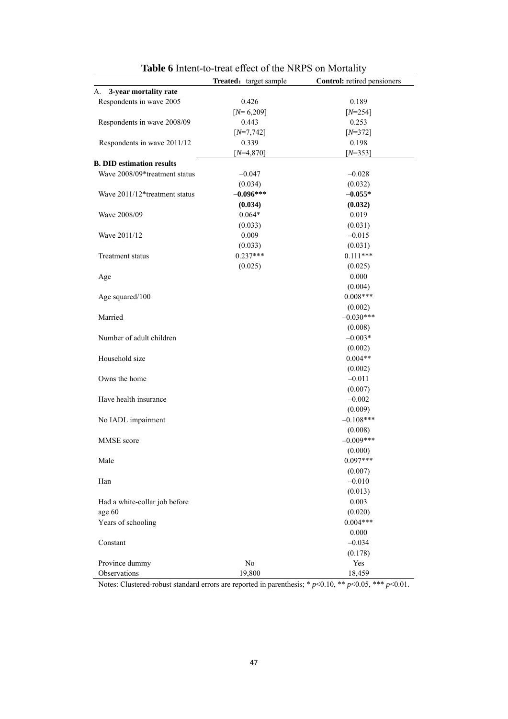|                                  | Treated: target sample | Control: retired pensioners |
|----------------------------------|------------------------|-----------------------------|
| 3-year mortality rate<br>A.      |                        |                             |
| Respondents in wave 2005         | 0.426                  | 0.189                       |
|                                  | $[N=6,209]$            | $[N=254]$                   |
| Respondents in wave 2008/09      | 0.443                  | 0.253                       |
|                                  | $[N=7,742]$            | $[N=372]$                   |
| Respondents in wave 2011/12      | 0.339                  | 0.198                       |
|                                  | $[N=4,870]$            | $[N=353]$                   |
| <b>B. DID estimation results</b> |                        |                             |
| Wave 2008/09*treatment status    | $-0.047$               | $-0.028$                    |
|                                  | (0.034)                | (0.032)                     |
| Wave 2011/12*treatment status    | $-0.096***$            | $-0.055*$                   |
|                                  | (0.034)                | (0.032)                     |
| Wave 2008/09                     | $0.064*$               | 0.019                       |
|                                  | (0.033)                | (0.031)                     |
| Wave 2011/12                     | 0.009                  | $-0.015$                    |
|                                  | (0.033)                | (0.031)                     |
| <b>Treatment status</b>          | $0.237***$             | $0.111***$                  |
|                                  | (0.025)                | (0.025)                     |
| Age                              |                        | 0.000                       |
|                                  |                        | (0.004)                     |
| Age squared/100                  |                        | $0.008***$                  |
|                                  |                        | (0.002)                     |
| Married                          |                        | $-0.030***$                 |
|                                  |                        | (0.008)                     |
| Number of adult children         |                        | $-0.003*$                   |
|                                  |                        | (0.002)                     |
| Household size                   |                        | $0.004**$                   |
|                                  |                        | (0.002)                     |
| Owns the home                    |                        | $-0.011$                    |
|                                  |                        | (0.007)                     |
| Have health insurance            |                        | $-0.002$                    |
|                                  |                        | (0.009)                     |
| No IADL impairment               |                        | $-0.108***$                 |
|                                  |                        | (0.008)                     |
| MMSE score                       |                        | $-0.009***$                 |
|                                  |                        | (0.000)                     |
| Male                             |                        | $0.097***$                  |
|                                  |                        | (0.007)                     |
| Han                              |                        | $-0.010$                    |
|                                  |                        | (0.013)                     |
| Had a white-collar job before    |                        | 0.003                       |
| age 60                           |                        | (0.020)                     |
| Years of schooling               |                        | $0.004***$                  |
|                                  |                        | 0.000                       |
| Constant                         |                        | $-0.034$                    |
|                                  |                        | (0.178)                     |
| Province dummy                   | $\rm No$               | Yes                         |
| Observations                     | 19,800                 | 18,459                      |

**Table 6** Intent-to-treat effect of the NRPS on Mortality

Notes: Clustered-robust standard errors are reported in parenthesis; \* *p*<0.10, \*\* *p*<0.05, \*\*\* *p*<0.01.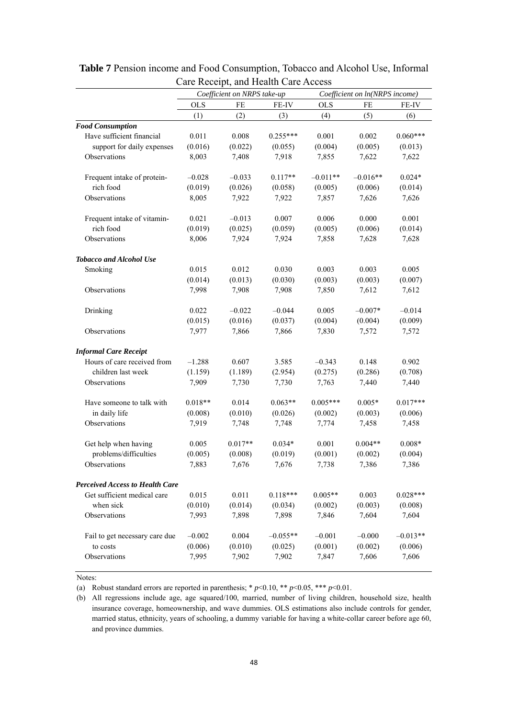|                                                      |            | $\alpha$ . Receipt, and Health Care Heeess<br>Coefficient on NRPS take-up |            |            |                                |            |
|------------------------------------------------------|------------|---------------------------------------------------------------------------|------------|------------|--------------------------------|------------|
|                                                      |            |                                                                           |            |            | Coefficient on ln(NRPS income) |            |
|                                                      | <b>OLS</b> | FE                                                                        | FE-IV      | <b>OLS</b> | FE                             | FE-IV      |
|                                                      | (1)        | (2)                                                                       | (3)        | (4)        | (5)                            | (6)        |
| <b>Food Consumption</b><br>Have sufficient financial | 0.011      | 0.008                                                                     | $0.255***$ | 0.001      | 0.002                          | $0.060***$ |
| support for daily expenses                           | (0.016)    | (0.022)                                                                   | (0.055)    | (0.004)    | (0.005)                        | (0.013)    |
| Observations                                         | 8,003      | 7,408                                                                     | 7,918      | 7,855      | 7,622                          | 7,622      |
|                                                      |            |                                                                           |            |            |                                |            |
| Frequent intake of protein-                          | $-0.028$   | $-0.033$                                                                  | $0.117**$  | $-0.011**$ | $-0.016**$                     | $0.024*$   |
| rich food                                            | (0.019)    | (0.026)                                                                   | (0.058)    | (0.005)    | (0.006)                        | (0.014)    |
| Observations                                         | 8,005      | 7,922                                                                     | 7,922      | 7,857      | 7,626                          | 7,626      |
|                                                      |            |                                                                           |            |            |                                |            |
| Frequent intake of vitamin-                          | 0.021      | $-0.013$                                                                  | 0.007      | 0.006      | 0.000                          | 0.001      |
| rich food                                            | (0.019)    | (0.025)                                                                   | (0.059)    | (0.005)    | (0.006)                        | (0.014)    |
| Observations                                         | 8,006      | 7,924                                                                     | 7,924      | 7,858      | 7,628                          | 7,628      |
|                                                      |            |                                                                           |            |            |                                |            |
| <b>Tobacco and Alcohol Use</b>                       |            |                                                                           |            |            |                                |            |
| Smoking                                              | 0.015      | 0.012                                                                     | 0.030      | 0.003      | 0.003                          | 0.005      |
|                                                      | (0.014)    | (0.013)                                                                   | (0.030)    | (0.003)    | (0.003)                        | (0.007)    |
| Observations                                         | 7,998      | 7,908                                                                     | 7,908      | 7,850      | 7,612                          | 7,612      |
| Drinking                                             | 0.022      | $-0.022$                                                                  | $-0.044$   | 0.005      | $-0.007*$                      | $-0.014$   |
|                                                      | (0.015)    | (0.016)                                                                   | (0.037)    | (0.004)    | (0.004)                        | (0.009)    |
| Observations                                         | 7,977      | 7,866                                                                     | 7,866      | 7,830      | 7,572                          | 7,572      |
| <b>Informal Care Receipt</b>                         |            |                                                                           |            |            |                                |            |
| Hours of care received from                          | $-1.288$   | 0.607                                                                     | 3.585      | $-0.343$   | 0.148                          | 0.902      |
| children last week                                   | (1.159)    | (1.189)                                                                   | (2.954)    | (0.275)    | (0.286)                        | (0.708)    |
| Observations                                         | 7,909      | 7,730                                                                     | 7,730      | 7,763      | 7,440                          | 7,440      |
|                                                      |            |                                                                           |            |            |                                |            |
| Have someone to talk with                            | $0.018**$  | 0.014                                                                     | $0.063**$  | $0.005***$ | $0.005*$                       | $0.017***$ |
| in daily life                                        | (0.008)    | (0.010)                                                                   | (0.026)    | (0.002)    | (0.003)                        | (0.006)    |
| Observations                                         | 7,919      | 7,748                                                                     | 7,748      | 7,774      | 7,458                          | 7,458      |
|                                                      |            |                                                                           |            |            |                                |            |
| Get help when having                                 | 0.005      | $0.017**$                                                                 | $0.034*$   | 0.001      | $0.004**$                      | $0.008*$   |
| problems/difficulties                                | (0.005)    | (0.008)                                                                   | (0.019)    | (0.001)    | (0.002)                        | (0.004)    |
| Observations                                         | 7,883      | 7,676                                                                     | 7,676      | 7,738      | 7,386                          | 7,386      |
| <b>Perceived Access to Health Care</b>               |            |                                                                           |            |            |                                |            |
| Get sufficient medical care                          | 0.015      | 0.011                                                                     | $0.118***$ | $0.005**$  | 0.003                          | $0.028***$ |
| when sick                                            | (0.010)    | (0.014)                                                                   | (0.034)    | (0.002)    | (0.003)                        | (0.008)    |
| Observations                                         | 7,993      | 7,898                                                                     | 7,898      | 7,846      | 7,604                          | 7,604      |
| Fail to get necessary care due                       | $-0.002$   | 0.004                                                                     | $-0.055**$ | $-0.001$   | $-0.000$                       | $-0.013**$ |
| to costs                                             | (0.006)    | (0.010)                                                                   | (0.025)    | (0.001)    | (0.002)                        | (0.006)    |
| Observations                                         | 7,995      | 7,902                                                                     | 7,902      | 7,847      | 7,606                          | 7,606      |
|                                                      |            |                                                                           |            |            |                                |            |

**Table 7** Pension income and Food Consumption, Tobacco and Alcohol Use, Informal Care Receipt, and Health Care Access

(a) Robust standard errors are reported in parenthesis;  $* p<0.10, ** p<0.05, *** p<0.01$ .

(b) All regressions include age, age squared/100, married, number of living children, household size, health insurance coverage, homeownership, and wave dummies. OLS estimations also include controls for gender, married status, ethnicity, years of schooling, a dummy variable for having a white-collar career before age 60, and province dummies.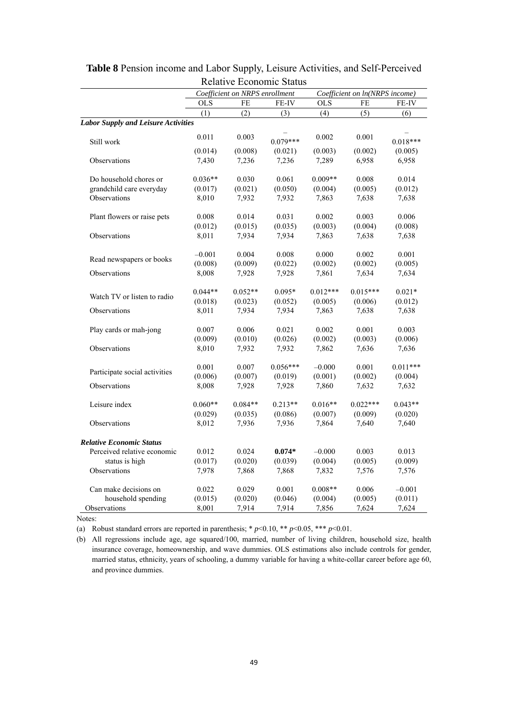|                                            |            | Coefficient on NRPS enrollment | <b>NUTALIVE L'UNIVILITÉ STATUS</b> |            | Coefficient on ln(NRPS income) |            |
|--------------------------------------------|------------|--------------------------------|------------------------------------|------------|--------------------------------|------------|
|                                            | <b>OLS</b> | FE                             | FE-IV                              | <b>OLS</b> | FE                             | FE-IV      |
|                                            | (1)        | (2)                            | (3)                                | (4)        | (5)                            | (6)        |
| <b>Labor Supply and Leisure Activities</b> |            |                                |                                    |            |                                |            |
| Still work                                 | 0.011      | 0.003                          | $0.079***$                         | 0.002      | 0.001                          | $0.018***$ |
|                                            | (0.014)    | (0.008)                        | (0.021)                            | (0.003)    | (0.002)                        | (0.005)    |
| Observations                               | 7,430      | 7,236                          | 7,236                              | 7,289      | 6,958                          | 6,958      |
| Do household chores or                     | $0.036**$  | 0.030                          | 0.061                              | $0.009**$  | 0.008                          | 0.014      |
| grandchild care everyday                   | (0.017)    | (0.021)                        | (0.050)                            | (0.004)    | (0.005)                        | (0.012)    |
| Observations                               | 8,010      | 7,932                          | 7,932                              | 7,863      | 7,638                          | 7,638      |
| Plant flowers or raise pets                | 0.008      | 0.014                          | 0.031                              | 0.002      | 0.003                          | 0.006      |
|                                            | (0.012)    | (0.015)                        | (0.035)                            | (0.003)    | (0.004)                        | (0.008)    |
| Observations                               | 8,011      | 7,934                          | 7,934                              | 7,863      | 7,638                          | 7,638      |
|                                            | $-0.001$   | 0.004                          | 0.008                              | 0.000      | 0.002                          | 0.001      |
| Read newspapers or books                   | (0.008)    | (0.009)                        | (0.022)                            | (0.002)    | (0.002)                        | (0.005)    |
| Observations                               | 8,008      | 7,928                          | 7,928                              | 7,861      | 7,634                          | 7,634      |
| Watch TV or listen to radio                | $0.044**$  | $0.052**$                      | $0.095*$                           | $0.012***$ | $0.015***$                     | $0.021*$   |
|                                            | (0.018)    | (0.023)                        | (0.052)                            | (0.005)    | (0.006)                        | (0.012)    |
| Observations                               | 8,011      | 7,934                          | 7,934                              | 7,863      | 7,638                          | 7,638      |
| Play cards or mah-jong                     | 0.007      | 0.006                          | 0.021                              | 0.002      | 0.001                          | 0.003      |
|                                            | (0.009)    | (0.010)                        | (0.026)                            | (0.002)    | (0.003)                        | (0.006)    |
| Observations                               | 8,010      | 7,932                          | 7,932                              | 7,862      | 7,636                          | 7,636      |
| Participate social activities              | 0.001      | 0.007                          | $0.056***$                         | $-0.000$   | 0.001                          | $0.011***$ |
|                                            | (0.006)    | (0.007)                        | (0.019)                            | (0.001)    | (0.002)                        | (0.004)    |
| Observations                               | 8,008      | 7,928                          | 7,928                              | 7,860      | 7,632                          | 7,632      |
| Leisure index                              | $0.060**$  | $0.084**$                      | $0.213**$                          | $0.016**$  | $0.022***$                     | $0.043**$  |
|                                            | (0.029)    | (0.035)                        | (0.086)                            | (0.007)    | (0.009)                        | (0.020)    |
| Observations                               | 8,012      | 7,936                          | 7,936                              | 7,864      | 7,640                          | 7,640      |
| <b>Relative Economic Status</b>            |            |                                |                                    |            |                                |            |
| Perceived relative economic                | 0.012      | 0.024                          | $0.074*$                           | $-0.000$   | 0.003                          | 0.013      |
| status is high                             | (0.017)    | (0.020)                        | (0.039)                            | (0.004)    | (0.005)                        | (0.009)    |
| Observations                               | 7,978      | 7,868                          | 7,868                              | 7,832      | 7,576                          | 7,576      |
| Can make decisions on                      | 0.022      | 0.029                          | 0.001                              | $0.008**$  | 0.006                          | $-0.001$   |
| household spending                         | (0.015)    | (0.020)                        | (0.046)                            | (0.004)    | (0.005)                        | (0.011)    |
| Observations                               | 8,001      | 7,914                          | 7,914                              | 7,856      | 7,624                          | 7,624      |

**Table 8** Pension income and Labor Supply, Leisure Activities, and Self-Perceived Relative Economic Status

(a) Robust standard errors are reported in parenthesis;  $* p \le 0.10$ ,  $** p \le 0.05$ ,  $** p \le 0.01$ .

(b) All regressions include age, age squared/100, married, number of living children, household size, health insurance coverage, homeownership, and wave dummies. OLS estimations also include controls for gender, married status, ethnicity, years of schooling, a dummy variable for having a white-collar career before age 60, and province dummies.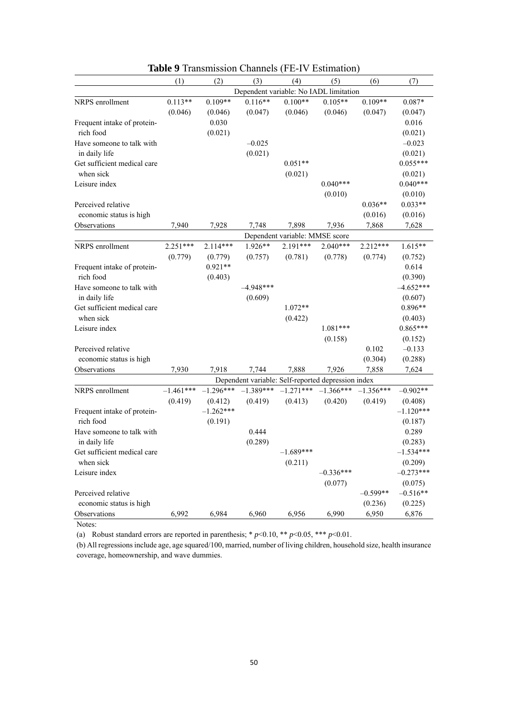|                             | (1)         | (2)         | (3)                                                | (4)                            | (5)         | (6)         | (7)         |
|-----------------------------|-------------|-------------|----------------------------------------------------|--------------------------------|-------------|-------------|-------------|
|                             |             |             | Dependent variable: No IADL limitation             |                                |             |             |             |
| NRPS enrollment             | $0.113**$   | $0.109**$   | $0.116**$                                          | $0.100**$                      | $0.105**$   | $0.109**$   | $0.087*$    |
|                             | (0.046)     | (0.046)     | (0.047)                                            | (0.046)                        | (0.046)     | (0.047)     | (0.047)     |
| Frequent intake of protein- |             | 0.030       |                                                    |                                |             |             | 0.016       |
| rich food                   |             | (0.021)     |                                                    |                                |             |             | (0.021)     |
| Have someone to talk with   |             |             | $-0.025$                                           |                                |             |             | $-0.023$    |
| in daily life               |             |             | (0.021)                                            |                                |             |             | (0.021)     |
| Get sufficient medical care |             |             |                                                    | $0.051**$                      |             |             | $0.055***$  |
| when sick                   |             |             |                                                    | (0.021)                        |             |             | (0.021)     |
| Leisure index               |             |             |                                                    |                                | $0.040***$  |             | $0.040***$  |
|                             |             |             |                                                    |                                | (0.010)     |             | (0.010)     |
| Perceived relative          |             |             |                                                    |                                |             | $0.036**$   | $0.033**$   |
| economic status is high     |             |             |                                                    |                                |             | (0.016)     | (0.016)     |
| Observations                | 7,940       | 7,928       | 7,748                                              | 7,898                          | 7,936       | 7,868       | 7,628       |
|                             |             |             |                                                    | Dependent variable: MMSE score |             |             |             |
| NRPS enrollment             | 2.251***    | $2.114***$  | 1.926**                                            | 2.191***                       | $2.040***$  | 2.212***    | $1.615**$   |
|                             | (0.779)     | (0.779)     | (0.757)                                            | (0.781)                        | (0.778)     | (0.774)     | (0.752)     |
| Frequent intake of protein- |             | $0.921**$   |                                                    |                                |             |             | 0.614       |
| rich food                   |             | (0.403)     |                                                    |                                |             |             | (0.390)     |
| Have someone to talk with   |             |             | $-4.948***$                                        |                                |             |             | $-4.652***$ |
| in daily life               |             |             | (0.609)                                            |                                |             |             | (0.607)     |
| Get sufficient medical care |             |             |                                                    | $1.072**$                      |             |             | $0.896**$   |
| when sick                   |             |             |                                                    | (0.422)                        |             |             | (0.403)     |
| Leisure index               |             |             |                                                    |                                | $1.081***$  |             | $0.865***$  |
|                             |             |             |                                                    |                                | (0.158)     |             | (0.152)     |
| Perceived relative          |             |             |                                                    |                                |             | 0.102       | $-0.133$    |
| economic status is high     |             |             |                                                    |                                |             | (0.304)     | (0.288)     |
| Observations                | 7,930       | 7.918       | 7,744                                              | 7,888                          | 7.926       | 7,858       | 7,624       |
|                             |             |             | Dependent variable: Self-reported depression index |                                |             |             |             |
| NRPS enrollment             | $-1.461***$ | $-1.296***$ | $-1.389***$                                        | $-1.271***$                    | $-1.366***$ | $-1.356***$ | $-0.902**$  |
|                             | (0.419)     | (0.412)     | (0.419)                                            | (0.413)                        | (0.420)     | (0.419)     | (0.408)     |
| Frequent intake of protein- |             | $-1.262***$ |                                                    |                                |             |             | $-1.120***$ |
| rich food                   |             | (0.191)     |                                                    |                                |             |             | (0.187)     |
| Have someone to talk with   |             |             | 0.444                                              |                                |             |             | 0.289       |
| in daily life               |             |             | (0.289)                                            |                                |             |             | (0.283)     |
| Get sufficient medical care |             |             |                                                    | $-1.689***$                    |             |             | $-1.534***$ |
| when sick                   |             |             |                                                    | (0.211)                        |             |             | (0.209)     |
| Leisure index               |             |             |                                                    |                                | $-0.336***$ |             | $-0.273***$ |
|                             |             |             |                                                    |                                | (0.077)     |             | (0.075)     |
| Perceived relative          |             |             |                                                    |                                |             | $-0.599**$  | $-0.516**$  |
| economic status is high     |             |             |                                                    |                                |             | (0.236)     | (0.225)     |
| Observations                | 6,992       | 6,984       | 6,960                                              | 6,956                          | 6,990       | 6,950       | 6,876       |

|--|

(a) Robust standard errors are reported in parenthesis;  $* p<0.10$ ,  $** p<0.05$ ,  $*** p<0.01$ .

(b) All regressions include age, age squared/100, married, number of living children, household size, health insurance coverage, homeownership, and wave dummies.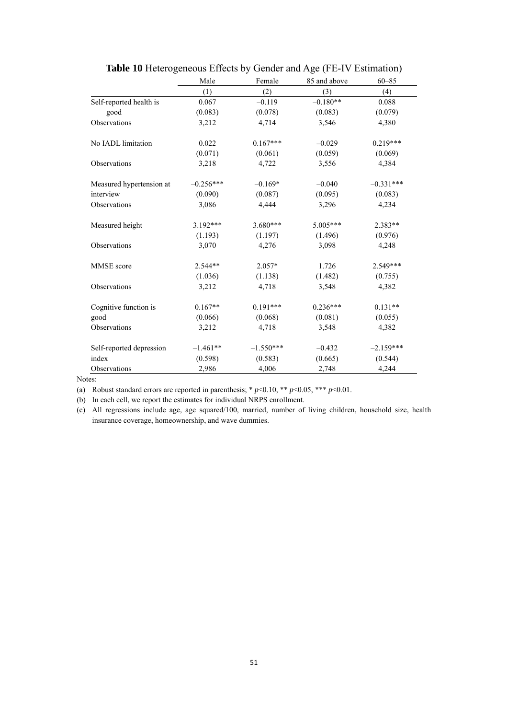|                          | Male        | Female      | 85 and above | $60 - 85$   |  |
|--------------------------|-------------|-------------|--------------|-------------|--|
|                          | (1)         | (2)         | (3)          | (4)         |  |
| Self-reported health is  | 0.067       | $-0.119$    | $-0.180**$   | 0.088       |  |
| good                     | (0.083)     | (0.078)     | (0.083)      | (0.079)     |  |
| Observations             | 3,212       | 4,714       | 3,546        | 4,380       |  |
| No IADL limitation       | 0.022       | $0.167***$  | $-0.029$     | $0.219***$  |  |
|                          | (0.071)     | (0.061)     | (0.059)      | (0.069)     |  |
| Observations             | 3,218       | 4,722       | 3,556        | 4,384       |  |
| Measured hypertension at | $-0.256***$ | $-0.169*$   | $-0.040$     | $-0.331***$ |  |
| interview                | (0.090)     | (0.087)     | (0.095)      | (0.083)     |  |
| Observations             | 3,086       | 4,444       | 3,296        | 4,234       |  |
| Measured height          | $3.192***$  | $3.680***$  | 5.005***     | $2.383**$   |  |
|                          | (1.193)     | (1.197)     | (1.496)      | (0.976)     |  |
| Observations             | 3,070       | 4,276       | 3,098        | 4,248       |  |
| MMSE score               | $2.544**$   | 2.057*      | 1.726        | 2.549***    |  |
|                          | (1.036)     | (1.138)     | (1.482)      | (0.755)     |  |
| Observations             | 3,212       | 4,718       | 3,548        | 4,382       |  |
| Cognitive function is    | $0.167**$   | $0.191***$  | $0.236***$   | $0.131**$   |  |
| good                     | (0.066)     | (0.068)     | (0.081)      | (0.055)     |  |
| Observations             | 3,212       | 4,718       | 3,548        | 4,382       |  |
| Self-reported depression | $-1.461**$  | $-1.550***$ | $-0.432$     | $-2.159***$ |  |
| index                    | (0.598)     | (0.583)     | (0.665)      | (0.544)     |  |
| Observations             | 2,986       | 4,006       | 2,748        | 4,244       |  |

|--|

(a) Robust standard errors are reported in parenthesis;  $* p<0.10, ** p<0.05, *** p<0.01$ .

(b) In each cell, we report the estimates for individual NRPS enrollment.

(c) All regressions include age, age squared/100, married, number of living children, household size, health insurance coverage, homeownership, and wave dummies.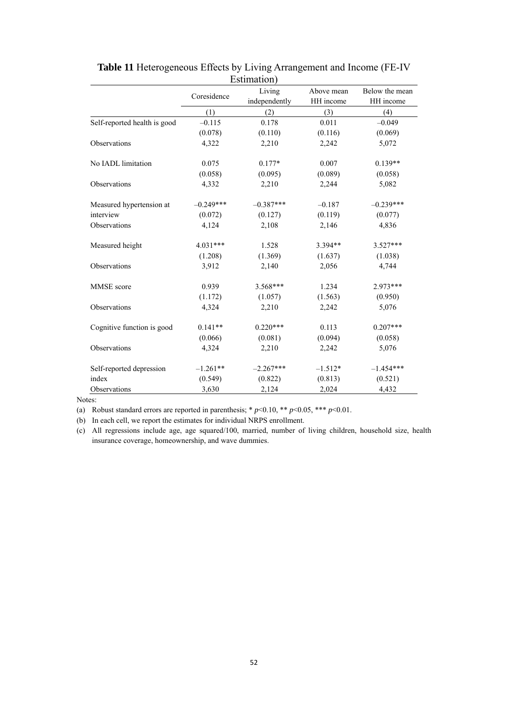|                              |             | Lournation <i>J</i><br>Living | Above mean | Below the mean |
|------------------------------|-------------|-------------------------------|------------|----------------|
|                              | Coresidence | independently                 | HH income  | HH income      |
|                              | (1)         | (2)                           | (3)        | (4)            |
| Self-reported health is good | $-0.115$    | 0.178                         | 0.011      | $-0.049$       |
|                              | (0.078)     | (0.110)                       | (0.116)    | (0.069)        |
| Observations                 | 4,322       | 2,210                         | 2,242      | 5,072          |
| No IADL limitation           | 0.075       | $0.177*$                      | 0.007      | $0.139**$      |
|                              | (0.058)     | (0.095)                       | (0.089)    | (0.058)        |
| Observations                 | 4,332       | 2,210                         | 2,244      | 5,082          |
| Measured hypertension at     | $-0.249***$ | $-0.387***$                   | $-0.187$   | $-0.239***$    |
| interview                    | (0.072)     | (0.127)                       | (0.119)    | (0.077)        |
| Observations                 | 4,124       | 2,108                         | 2,146      | 4,836          |
| Measured height              | 4.031***    | 1.528                         | 3.394**    | $3.527***$     |
|                              | (1.208)     | (1.369)                       | (1.637)    | (1.038)        |
| Observations                 | 3,912       | 2,140                         | 2,056      | 4,744          |
| MMSE score                   | 0.939       | 3.568***                      | 1.234      | 2.973***       |
|                              | (1.172)     | (1.057)                       | (1.563)    | (0.950)        |
| Observations                 | 4,324       | 2,210                         | 2,242      | 5,076          |
| Cognitive function is good   | $0.141**$   | $0.220***$                    | 0.113      | $0.207***$     |
|                              | (0.066)     | (0.081)                       | (0.094)    | (0.058)        |
| Observations                 | 4,324       | 2,210                         | 2,242      | 5,076          |
| Self-reported depression     | $-1.261**$  | $-2.267***$                   | $-1.512*$  | $-1.454***$    |
| index                        | (0.549)     | (0.822)                       | (0.813)    | (0.521)        |
| Observations                 | 3,630       | 2,124                         | 2,024      | 4,432          |

**Table 11** Heterogeneous Effects by Living Arrangement and Income (FE-IV Estimation)

(a) Robust standard errors are reported in parenthesis;  $* p<0.10$ ,  $** p<0.05$ ,  $*** p<0.01$ .

(b) In each cell, we report the estimates for individual NRPS enrollment.

(c) All regressions include age, age squared/100, married, number of living children, household size, health insurance coverage, homeownership, and wave dummies.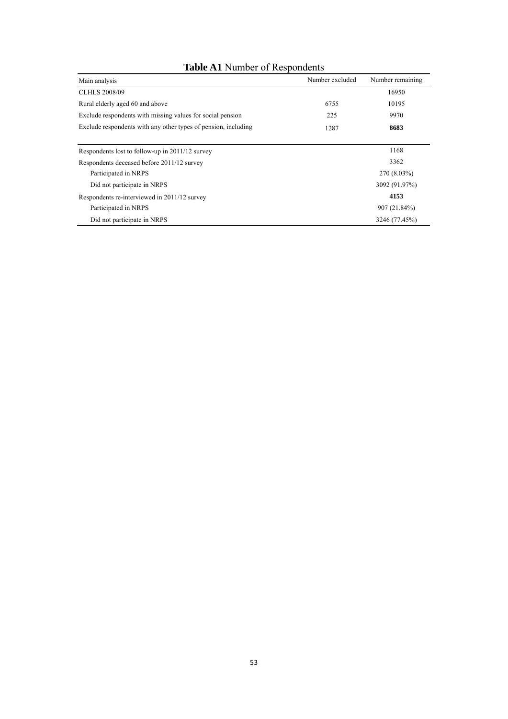### **Table A1** Number of Respondents

| Main analysis                                                  | Number excluded | Number remaining |
|----------------------------------------------------------------|-----------------|------------------|
| <b>CLHLS 2008/09</b>                                           |                 | 16950            |
| Rural elderly aged 60 and above                                | 6755            | 10195            |
| Exclude respondents with missing values for social pension     | 225             | 9970             |
| Exclude respondents with any other types of pension, including | 1287            | 8683             |
|                                                                |                 |                  |
| Respondents lost to follow-up in 2011/12 survey                |                 | 1168             |
| Respondents deceased before 2011/12 survey                     |                 | 3362             |
| Participated in NRPS                                           |                 | 270 (8.03%)      |
| Did not participate in NRPS                                    |                 | 3092 (91.97%)    |
| Respondents re-interviewed in 2011/12 survey                   |                 | 4153             |
| Participated in NRPS                                           |                 | 907 (21.84%)     |
| Did not participate in NRPS                                    |                 | 3246 (77.45%)    |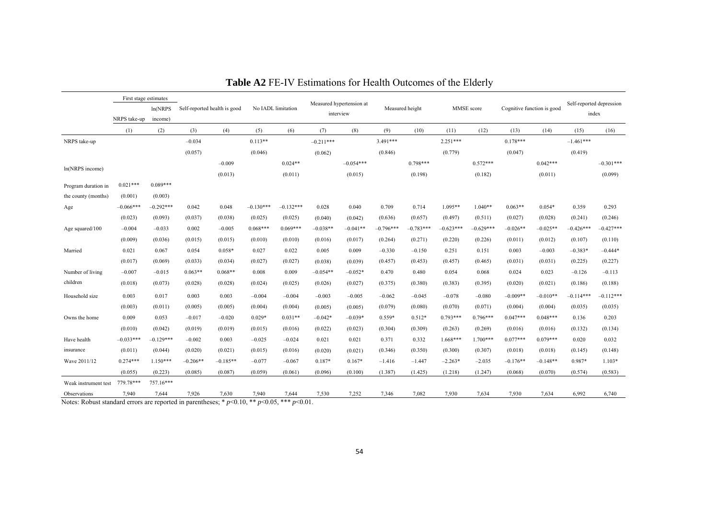|                      | First stage estimates<br>ln(NRPS)<br>NRPS take-up<br>income) |             |                              |            |             |                    |             |                                       |             |                 |             |             |                            |            |                                   |             |
|----------------------|--------------------------------------------------------------|-------------|------------------------------|------------|-------------|--------------------|-------------|---------------------------------------|-------------|-----------------|-------------|-------------|----------------------------|------------|-----------------------------------|-------------|
|                      |                                                              |             | Self-reported health is good |            |             | No IADL limitation |             | Measured hypertension at<br>interview |             | Measured height |             | MMSE score  | Cognitive function is good |            | Self-reported depression<br>index |             |
|                      | (1)                                                          | (2)         | (3)                          | (4)        | (5)         | (6)                | (7)         | (8)                                   | (9)         | (10)            | (11)        | (12)        | (13)                       | (14)       | (15)                              | (16)        |
| NRPS take-up         |                                                              |             | $-0.034$                     |            | $0.113**$   |                    | $-0.211***$ |                                       | $3.491***$  |                 | $2.251***$  |             | $0.178***$                 |            | $-1.461***$                       |             |
|                      |                                                              |             | (0.057)                      |            | (0.046)     |                    | (0.062)     |                                       | (0.846)     |                 | (0.779)     |             | (0.047)                    |            | (0.419)                           |             |
|                      |                                                              |             |                              | $-0.009$   |             | $0.024**$          |             | $-0.054***$                           |             | $0.798***$      |             | $0.572***$  |                            | $0.042***$ |                                   | $-0.301***$ |
| ln(NRPS income)      |                                                              |             |                              | (0.013)    |             | (0.011)            |             | (0.015)                               |             | (0.198)         |             | (0.182)     |                            | (0.011)    |                                   | (0.099)     |
| Program duration in  | $0.021***$                                                   | $0.089***$  |                              |            |             |                    |             |                                       |             |                 |             |             |                            |            |                                   |             |
| the county (months)  | (0.001)                                                      | (0.003)     |                              |            |             |                    |             |                                       |             |                 |             |             |                            |            |                                   |             |
| Age                  | $-0.066***$                                                  | $-0.292***$ | 0.042                        | 0.048      | $-0.130***$ | $-0.132***$        | 0.028       | 0.040                                 | 0.709       | 0.714           | $1.095**$   | $1.040**$   | $0.063**$                  | $0.054*$   | 0.359                             | 0.293       |
|                      | (0.023)                                                      | (0.093)     | (0.037)                      | (0.038)    | (0.025)     | (0.025)            | (0.040)     | (0.042)                               | (0.636)     | (0.657)         | (0.497)     | (0.511)     | (0.027)                    | (0.028)    | (0.241)                           | (0.246)     |
| Age squared/100      | $-0.004$                                                     | $-0.033$    | 0.002                        | $-0.005$   | $0.068***$  | $0.069***$         | $-0.038**$  | $-0.041**$                            | $-0.796***$ | $-0.783***$     | $-0.623***$ | $-0.629***$ | $-0.026**$                 | $-0.025**$ | $-0.426***$                       | $-0.427***$ |
|                      | (0.009)                                                      | (0.036)     | (0.015)                      | (0.015)    | (0.010)     | (0.010)            | (0.016)     | (0.017)                               | (0.264)     | (0.271)         | (0.220)     | (0.226)     | (0.011)                    | (0.012)    | (0.107)                           | (0.110)     |
| Married              | 0.021                                                        | 0.067       | 0.054                        | $0.058*$   | 0.027       | 0.022              | 0.005       | 0.009                                 | $-0.330$    | $-0.150$        | 0.251       | 0.151       | 0.003                      | $-0.003$   | $-0.383*$                         | $-0.444*$   |
|                      | (0.017)                                                      | (0.069)     | (0.033)                      | (0.034)    | (0.027)     | (0.027)            | (0.038)     | (0.039)                               | (0.457)     | (0.453)         | (0.457)     | (0.465)     | (0.031)                    | (0.031)    | (0.225)                           | (0.227)     |
| Number of living     | $-0.007$                                                     | $-0.015$    | $0.063**$                    | $0.068**$  | 0.008       | 0.009              | $-0.054**$  | $-0.052*$                             | 0.470       | 0.480           | 0.054       | 0.068       | 0.024                      | 0.023      | $-0.126$                          | $-0.113$    |
| children             | (0.018)                                                      | (0.073)     | (0.028)                      | (0.028)    | (0.024)     | (0.025)            | (0.026)     | (0.027)                               | (0.375)     | (0.380)         | (0.383)     | (0.395)     | (0.020)                    | (0.021)    | (0.186)                           | (0.188)     |
| Household size       | 0.003                                                        | 0.017       | 0.003                        | 0.003      | $-0.004$    | $-0.004$           | $-0.003$    | $-0.005$                              | $-0.062$    | $-0.045$        | $-0.078$    | $-0.080$    | $-0.009**$                 | $-0.010**$ | $-0.114***$                       | $-0.112***$ |
|                      | (0.003)                                                      | (0.011)     | (0.005)                      | (0.005)    | (0.004)     | (0.004)            | (0.005)     | (0.005)                               | (0.079)     | (0.080)         | (0.070)     | (0.071)     | (0.004)                    | (0.004)    | (0.035)                           | (0.035)     |
| Owns the home        | 0.009                                                        | 0.053       | $-0.017$                     | $-0.020$   | $0.029*$    | $0.031**$          | $-0.042*$   | $-0.039*$                             | $0.559*$    | $0.512*$        | $0.793***$  | $0.796***$  | $0.047***$                 | $0.048***$ | 0.136                             | 0.203       |
|                      | (0.010)                                                      | (0.042)     | (0.019)                      | (0.019)    | (0.015)     | (0.016)            | (0.022)     | (0.023)                               | (0.304)     | (0.309)         | (0.263)     | (0.269)     | (0.016)                    | (0.016)    | (0.132)                           | (0.134)     |
| Have health          | $-0.033***$                                                  | $-0.129***$ | $-0.002$                     | 0.003      | $-0.025$    | $-0.024$           | 0.021       | 0.021                                 | 0.371       | 0.332           | $1.668***$  | $1.700***$  | $0.077***$                 | $0.079***$ | 0.020                             | 0.032       |
| insurance            | (0.011)                                                      | (0.044)     | (0.020)                      | (0.021)    | (0.015)     | (0.016)            | (0.020)     | (0.021)                               | (0.346)     | (0.350)         | (0.300)     | (0.307)     | (0.018)                    | (0.018)    | (0.145)                           | (0.148)     |
| Wave 2011/12         | $0.274***$                                                   | $1.150***$  | $-0.206**$                   | $-0.185**$ | $-0.077$    | $-0.067$           | $0.187*$    | $0.167*$                              | $-1.416$    | $-1.447$        | $-2.263*$   | $-2.035$    | $-0.176**$                 | $-0.148**$ | 0.987*                            | $1.103*$    |
|                      | (0.055)                                                      | (0.223)     | (0.085)                      | (0.087)    | (0.059)     | (0.061)            | (0.096)     | (0.100)                               | (1.387)     | (1.425)         | (1.218)     | (1.247)     | (0.068)                    | (0.070)    | (0.574)                           | (0.583)     |
| Weak instrument test | 779.78***                                                    | 757.16***   |                              |            |             |                    |             |                                       |             |                 |             |             |                            |            |                                   |             |
| Observations         | 7,940                                                        | 7,644       | 7,926                        | 7,630      | 7,940       | 7,644              | 7,530       | 7,252                                 | 7,346       | 7,082           | 7,930       | 7,634       | 7,930                      | 7,634      | 6.992                             | 6,740       |

Notes: Robust standard errors are reported in parentheses; \* *p*<0.10, \*\* *p*<0.05, \*\*\* *p*<0.01.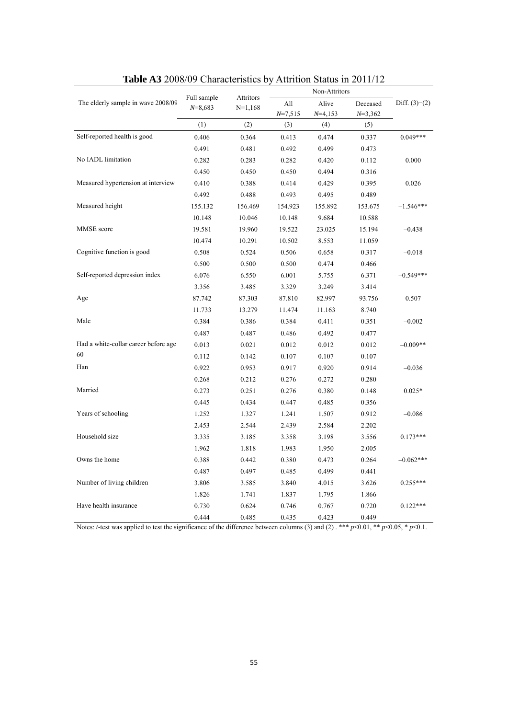| <b>Radic AS</b> 2006/07 Characteristics by |                          |                        | AUTHOIL DIAIUS III $\angle 011/12$ |                                     |                       |                 |
|--------------------------------------------|--------------------------|------------------------|------------------------------------|-------------------------------------|-----------------------|-----------------|
| The elderly sample in wave 2008/09         | Full sample<br>$N=8,683$ | Attritors<br>$N=1,168$ | All<br>$N=7,515$                   | Non-Attritors<br>Alive<br>$N=4,153$ | Deceased<br>$N=3,362$ | Diff. $(3)-(2)$ |
|                                            | (1)                      | (2)                    | (3)                                | (4)                                 | (5)                   |                 |
| Self-reported health is good               | 0.406                    | 0.364                  | 0.413                              | 0.474                               | 0.337                 | $0.049***$      |
|                                            | 0.491                    | 0.481                  | 0.492                              | 0.499                               | 0.473                 |                 |
| No IADL limitation                         | 0.282                    | 0.283                  | 0.282                              | 0.420                               | 0.112                 | 0.000           |
|                                            | 0.450                    | 0.450                  | 0.450                              | 0.494                               | 0.316                 |                 |
| Measured hypertension at interview         | 0.410                    | 0.388                  | 0.414                              | 0.429                               | 0.395                 | 0.026           |
|                                            | 0.492                    | 0.488                  | 0.493                              | 0.495                               | 0.489                 |                 |
| Measured height                            | 155.132                  | 156.469                | 154.923                            | 155.892                             | 153.675               | $-1.546***$     |
|                                            | 10.148                   | 10.046                 | 10.148                             | 9.684                               | 10.588                |                 |
| MMSE score                                 | 19.581                   | 19.960                 | 19.522                             | 23.025                              | 15.194                | $-0.438$        |
|                                            | 10.474                   | 10.291                 | 10.502                             | 8.553                               | 11.059                |                 |
| Cognitive function is good                 | 0.508                    | 0.524                  | 0.506                              | 0.658                               | 0.317                 | $-0.018$        |
|                                            | 0.500                    | 0.500                  | 0.500                              | 0.474                               | 0.466                 |                 |
| Self-reported depression index             | 6.076                    | 6.550                  | 6.001                              | 5.755                               | 6.371                 | $-0.549***$     |
|                                            | 3.356                    | 3.485                  | 3.329                              | 3.249                               | 3.414                 |                 |
| Age                                        | 87.742                   | 87.303                 | 87.810                             | 82.997                              | 93.756                | 0.507           |
|                                            | 11.733                   | 13.279                 | 11.474                             | 11.163                              | 8.740                 |                 |
| Male                                       | 0.384                    | 0.386                  | 0.384                              | 0.411                               | 0.351                 | $-0.002$        |
|                                            | 0.487                    | 0.487                  | 0.486                              | 0.492                               | 0.477                 |                 |
| Had a white-collar career before age       | 0.013                    | 0.021                  | 0.012                              | 0.012                               | 0.012                 | $-0.009**$      |
| 60                                         | 0.112                    | 0.142                  | 0.107                              | 0.107                               | 0.107                 |                 |
| Han                                        | 0.922                    | 0.953                  | 0.917                              | 0.920                               | 0.914                 | $-0.036$        |
|                                            | 0.268                    | 0.212                  | 0.276                              | 0.272                               | 0.280                 |                 |
| Married                                    | 0.273                    | 0.251                  | 0.276                              | 0.380                               | 0.148                 | $0.025*$        |
|                                            | 0.445                    | 0.434                  | 0.447                              | 0.485                               | 0.356                 |                 |
| Years of schooling                         | 1.252                    | 1.327                  | 1.241                              | 1.507                               | 0.912                 | $-0.086$        |
|                                            | 2.453                    | 2.544                  | 2.439                              | 2.584                               | 2.202                 |                 |
| Household size                             | 3.335                    | 3.185                  | 3.358                              | 3.198                               | 3.556                 | $0.173***$      |
|                                            | 1.962                    | 1.818                  | 1.983                              | 1.950                               | 2.005                 |                 |
| Owns the home                              | 0.388                    | 0.442                  | 0.380                              | 0.473                               | 0.264                 | $-0.062***$     |
|                                            | 0.487                    | 0.497                  | 0.485                              | 0.499                               | 0.441                 |                 |
| Number of living children                  | 3.806                    | 3.585                  | 3.840                              | 4.015                               | 3.626                 | $0.255***$      |
|                                            | 1.826                    | 1.741                  | 1.837                              | 1.795                               | 1.866                 |                 |
| Have health insurance                      | 0.730                    | 0.624                  | 0.746                              | 0.767                               | 0.720                 | $0.122***$      |
|                                            | 0.444                    | 0.485                  | 0.435                              | 0.423                               | 0.449                 |                 |

| <b>Table A3</b> 2008/09 Characteristics by Attrition Status in 2011/12 |  |  |
|------------------------------------------------------------------------|--|--|
|                                                                        |  |  |

Notes: *t*-test was applied to test the significance of the difference between columns (3) and (2) . \*\* *p*<0.01, \*\* *p*<0.05, \* *p*<0.1.